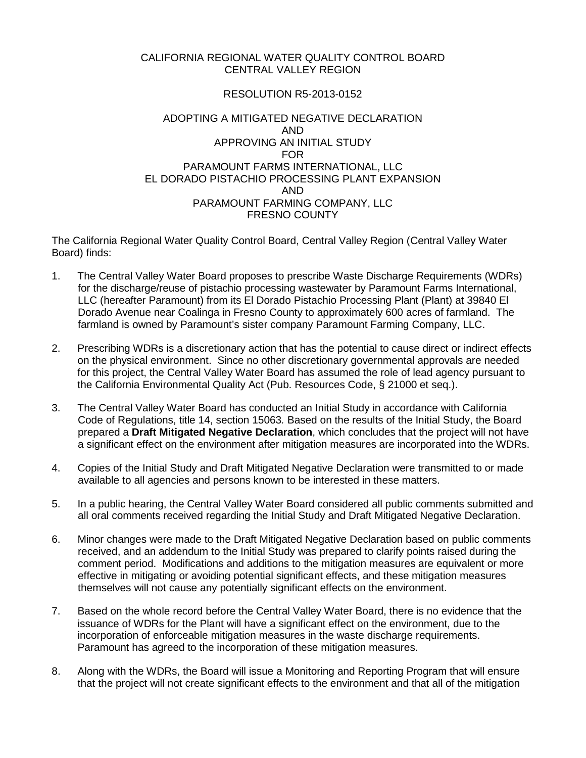# CALIFORNIA REGIONAL WATER QUALITY CONTROL BOARD CENTRAL VALLEY REGION

# RESOLUTION R5-2013-0152

# ADOPTING A MITIGATED NEGATIVE DECLARATION AND APPROVING AN INITIAL STUDY FOR PARAMOUNT FARMS INTERNATIONAL, LLC EL DORADO PISTACHIO PROCESSING PLANT EXPANSION AND PARAMOUNT FARMING COMPANY, LLC FRESNO COUNTY

The California Regional Water Quality Control Board, Central Valley Region (Central Valley Water Board) finds:

- 1. The Central Valley Water Board proposes to prescribe Waste Discharge Requirements (WDRs) for the discharge/reuse of pistachio processing wastewater by Paramount Farms International, LLC (hereafter Paramount) from its El Dorado Pistachio Processing Plant (Plant) at 39840 El Dorado Avenue near Coalinga in Fresno County to approximately 600 acres of farmland. The farmland is owned by Paramount's sister company Paramount Farming Company, LLC.
- 2. Prescribing WDRs is a discretionary action that has the potential to cause direct or indirect effects on the physical environment. Since no other discretionary governmental approvals are needed for this project, the Central Valley Water Board has assumed the role of lead agency pursuant to the California Environmental Quality Act (Pub. Resources Code, § 21000 et seq.).
- 3. The Central Valley Water Board has conducted an Initial Study in accordance with California Code of Regulations, title 14, section 15063*.* Based on the results of the Initial Study, the Board prepared a **Draft Mitigated Negative Declaration**, which concludes that the project will not have a significant effect on the environment after mitigation measures are incorporated into the WDRs.
- 4. Copies of the Initial Study and Draft Mitigated Negative Declaration were transmitted to or made available to all agencies and persons known to be interested in these matters.
- 5. In a public hearing, the Central Valley Water Board considered all public comments submitted and all oral comments received regarding the Initial Study and Draft Mitigated Negative Declaration.
- 6. Minor changes were made to the Draft Mitigated Negative Declaration based on public comments received, and an addendum to the Initial Study was prepared to clarify points raised during the comment period. Modifications and additions to the mitigation measures are equivalent or more effective in mitigating or avoiding potential significant effects, and these mitigation measures themselves will not cause any potentially significant effects on the environment.
- 7. Based on the whole record before the Central Valley Water Board, there is no evidence that the issuance of WDRs for the Plant will have a significant effect on the environment, due to the incorporation of enforceable mitigation measures in the waste discharge requirements. Paramount has agreed to the incorporation of these mitigation measures.
- 8. Along with the WDRs, the Board will issue a Monitoring and Reporting Program that will ensure that the project will not create significant effects to the environment and that all of the mitigation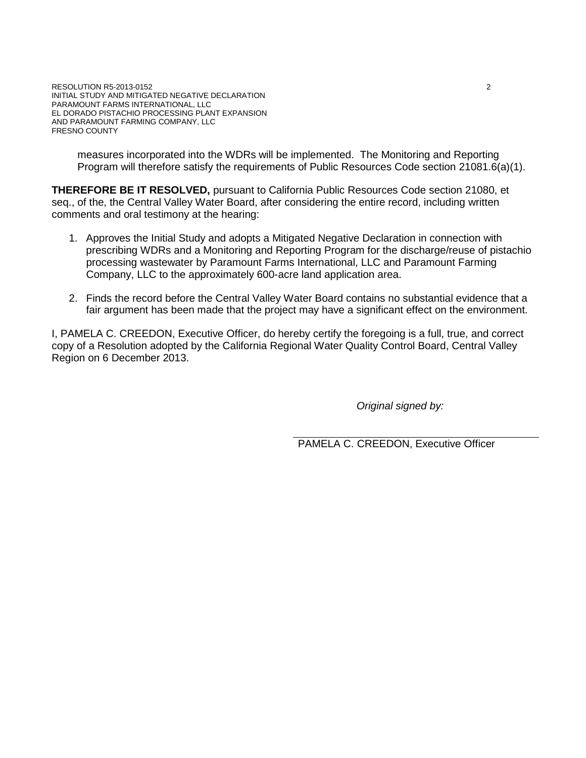measures incorporated into the WDRs will be implemented. The Monitoring and Reporting Program will therefore satisfy the requirements of Public Resources Code section 21081.6(a)(1).

**THEREFORE BE IT RESOLVED,** pursuant to California Public Resources Code section 21080, et seq., of the, the Central Valley Water Board, after considering the entire record, including written comments and oral testimony at the hearing:

- 1. Approves the Initial Study and adopts a Mitigated Negative Declaration in connection with prescribing WDRs and a Monitoring and Reporting Program for the discharge/reuse of pistachio processing wastewater by Paramount Farms International, LLC and Paramount Farming Company, LLC to the approximately 600-acre land application area.
- 2. Finds the record before the Central Valley Water Board contains no substantial evidence that a fair argument has been made that the project may have a significant effect on the environment.

I, PAMELA C. CREEDON, Executive Officer, do hereby certify the foregoing is a full, true, and correct copy of a Resolution adopted by the California Regional Water Quality Control Board, Central Valley Region on 6 December 2013.

*Original signed by:*

PAMELA C. CREEDON, Executive Officer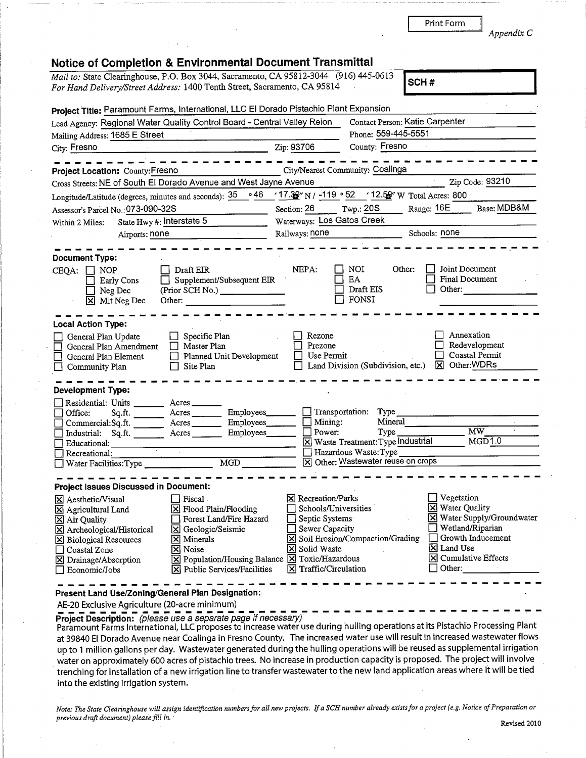| Print Form |
|------------|
|            |

Appendix C

| <b>Notice of Completion &amp; Environmental Document Transmittal</b>                      |                                                                                                     |
|-------------------------------------------------------------------------------------------|-----------------------------------------------------------------------------------------------------|
| Mail to: State Clearinghouse, P.O. Box 3044, Sacramento, CA 95812-3044 (916) 445-0613     | SCH#                                                                                                |
| For Hand Delivery/Street Address: 1400 Tenth Street, Sacramento, CA 95814                 |                                                                                                     |
| Project Title: Paramount Farms, International, LLC El Dorado Pistachio Plant Expansion    |                                                                                                     |
| Lead Agency: Regional Water Quality Control Board - Central Valley Reion                  | Contact Person: Katie Carpenter                                                                     |
| Mailing Address: 1685 E Street                                                            | Phone: 559-445-5551                                                                                 |
| City: Fresno                                                                              | Zip: 93706<br>County: Fresno                                                                        |
|                                                                                           |                                                                                                     |
| Project Location: County: Fresno                                                          | City/Nearest Community: Coalinga                                                                    |
| Cross Streets: NE of South El Dorado Avenue and West Jayne Avenue                         | Zip Code: 93210                                                                                     |
| - 46∘<br>Longitude/Latitude (degrees, minutes and seconds): 35                            | $/17.32$ N / -119 $\cdot$ 52 $/12.52$ W Total Acres: 800                                            |
| Assessor's Parcel No.: 073-090-32S                                                        | Base: MDB&M<br>Range: 16E<br>Section: 26<br>Twp.: 20S                                               |
| State Hwy #: Interstate 5<br>Within 2 Miles:                                              | Waterways: Los Gatos Creek                                                                          |
| Airports: none                                                                            | Railways: none<br>Schools: none                                                                     |
|                                                                                           |                                                                                                     |
| <b>Document Type:</b>                                                                     |                                                                                                     |
| Draft EIR<br>$CEQA: \Box NOP$                                                             | Joint Document<br>NEPA:<br>NOI<br>Other:                                                            |
| Supplement/Subsequent EIR<br><b>Early Cons</b>                                            | <b>Final Document</b><br>EA                                                                         |
| (Prior SCH No.)<br>Neg Dec                                                                | Draft EIS<br>Other:                                                                                 |
| Mit Neg Dec<br>Other:<br>l×l                                                              | <b>FONSI</b>                                                                                        |
|                                                                                           |                                                                                                     |
| <b>Local Action Type:</b>                                                                 |                                                                                                     |
| Specific Plan<br>General Plan Update                                                      | Annexation<br>Rezone<br>Redevelopment<br>Prezone                                                    |
| Master Plan<br>General Plan Amendment<br>Planned Unit Development<br>General Plan Element | Coastal Permit<br>Use Permit                                                                        |
| Site Plan<br>Community Plan                                                               | Other:WDRs<br>Land Division (Subdivision, etc.)<br>⊠                                                |
|                                                                                           |                                                                                                     |
| Development Type:                                                                         |                                                                                                     |
| Residential: Units _______<br>$A$ cres $\_\_$                                             |                                                                                                     |
| Employees_<br>Office:<br>Sq.ft.<br>Acres ________                                         | Transportation:<br>Type                                                                             |
| Acres<br>Employees_<br>Commercial:Sq.ft.                                                  | Mineral<br>Mining:                                                                                  |
| $Sq.ft.$ $\overline{\phantom{a}}$ Acres<br>Employees_<br>Industrial:                      | $\overline{\text{MW}}$<br>Power:<br>Type                                                            |
| Educational:                                                                              | MGD1.0<br>X Waste Treatment: Type Industrial<br>Hazardous Waste: Type                               |
| Recreational:<br>MGD<br>Water Facilities: Type                                            | X Other: Wastewater reuse on crops                                                                  |
|                                                                                           |                                                                                                     |
| <b>Project Issues Discussed in Document:</b>                                              |                                                                                                     |
| Fiscal<br><b>X</b> Aesthetic/Visual                                                       | Vegetation<br><b>X</b> Recreation/Parks                                                             |
| X Flood Plain/Flooding<br><b>X</b> Agricultural Land                                      | <b>X</b> Water Quality<br>Schools/Universities                                                      |
| Forest Land/Fire Hazard<br>⊠ Air Quality                                                  | X Water Supply/Groundwater<br>Septic Systems                                                        |
| <b>X</b> Geologic/Seismic<br>X Archeological/Historical                                   | Wetland/Riparian<br>Sewer Capacity<br>Growth Inducement<br><b>X</b> Soil Erosion/Compaction/Grading |
| <b>X</b> Minerals<br><b>X</b> Biological Resources<br>X Noise<br>Coastal Zone             | X Land Use<br>Solid Waste<br>⋈                                                                      |
| <b>X</b> Drainage/Absorption                                                              | <b>X</b> Cumulative Effects<br>X Population/Housing Balance X Toxic/Hazardous                       |
| X Public Services/Facilities<br>Economic/Jobs                                             | $\boxtimes$ Traffic/Circulation<br>Other:                                                           |
|                                                                                           |                                                                                                     |
| Present Land Use/Zoning/General Plan Designation:                                         |                                                                                                     |

AE-20 Exclusive Agriculture (20-acre minimum)

Project Description: (please use a separate page if necessary)

Paramount Farms International, LLC proposes to increase water use during hulling operations at its Pistachio Processing Plant at 39840 El Dorado Avenue near Coalinga in Fresno County. The increased water use will result in increased wastewater flows up to 1 million gallons per day. Wastewater generated during the hulling operations will be reused as supplemental irrigation water on approximately 600 acres of pistachio trees. No increase in production capacity is proposed. The project will involve trenching for installation of a new irrigation line to transfer wastewater to the new land application areas where it will be tied into the existing irrigation system.

Note: The State Clearinghouse will assign identification numbers for all new projects. If a SCH number already exists for a project (e.g. Notice of Preparation or previous draft document) please fill in.

Revised 2010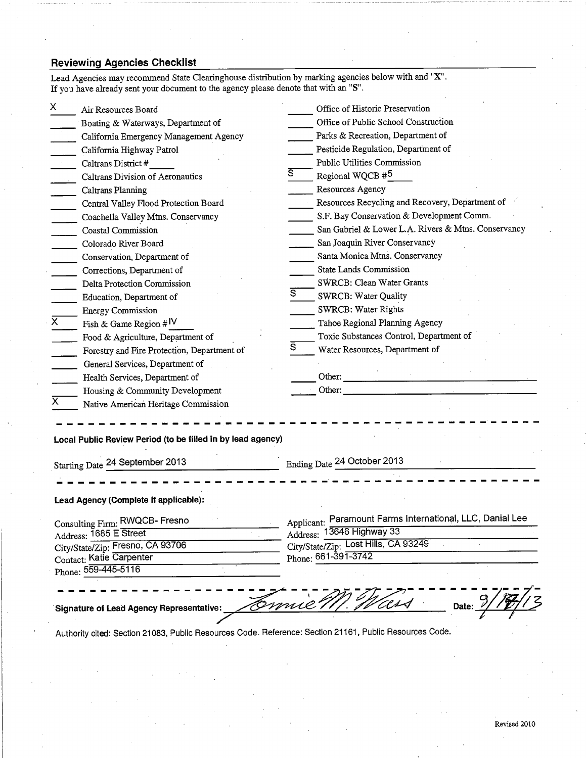# **Reviewing Agencies Checklist**

|                | Air Resources Board                                                                            |                | Office of Historic Preservation                           |
|----------------|------------------------------------------------------------------------------------------------|----------------|-----------------------------------------------------------|
|                | Boating & Waterways, Department of                                                             |                | Office of Public School Construction                      |
|                | California Emergency Management Agency                                                         |                | Parks & Recreation, Department of                         |
|                | California Highway Patrol                                                                      |                | Pesticide Regulation, Department of                       |
|                | Caltrans District #                                                                            |                | Public Utilities Commission                               |
|                | Caltrans Division of Aeronautics                                                               | $\overline{s}$ | Regional WQCB #5                                          |
|                | Caltrans Planning                                                                              |                | Resources Agency                                          |
|                | Central Valley Flood Protection Board                                                          |                | Resources Recycling and Recovery, Department of           |
|                | Coachella Valley Mtns. Conservancy                                                             |                | S.F. Bay Conservation & Development Comm.                 |
|                | Coastal Commission                                                                             |                | San Gabriel & Lower L.A. Rivers & Mtns. Conservancy       |
|                | Colorado River Board                                                                           |                | San Joaquin River Conservancy                             |
|                | Conservation, Department of                                                                    |                | Santa Monica Mtns. Conservancy                            |
|                | Corrections, Department of                                                                     |                | <b>State Lands Commission</b>                             |
|                | Delta Protection Commission                                                                    |                | SWRCB: Clean Water Grants                                 |
|                | Education, Department of                                                                       |                | <b>SWRCB: Water Quality</b>                               |
|                | <b>Energy Commission</b>                                                                       |                | SWRCB: Water Rights                                       |
| $\overline{x}$ | Fish & Game Region # $IV$                                                                      |                | Tahoe Regional Planning Agency                            |
|                | Food & Agriculture, Department of                                                              |                | Toxic Substances Control, Department of                   |
|                | Forestry and Fire Protection, Department of                                                    | S.             | Water Resources, Department of                            |
|                | General Services, Department of                                                                |                |                                                           |
|                | Health Services, Department of                                                                 |                | Other:                                                    |
|                | Housing & Community Development                                                                |                | Other: $\overline{\phantom{a}}$                           |
|                | Native American Heritage Commission                                                            |                |                                                           |
|                |                                                                                                |                |                                                           |
|                | Local Public Review Period (to be filled in by lead agency)<br>Starting Date 24 September 2013 |                | Ending Date 24 October 2013                               |
|                |                                                                                                |                |                                                           |
|                |                                                                                                |                |                                                           |
|                | Lead Agency (Complete if applicable):                                                          |                |                                                           |
|                | Consulting Firm: RWQCB- Fresno                                                                 |                | Applicant: Paramount Farms International, LLC, Danial Lee |
|                | Address: 1685 E Street                                                                         |                | Address: 13646 Highway 33                                 |
|                | City/State/Zip: Fresno, CA 93706                                                               |                | City/State/Zip: Lost Hills, CA 93249                      |
|                | Contact: Katie Carpenter                                                                       |                | Phone: 661-391-3742                                       |
|                | Phone: 559-445-5116                                                                            |                |                                                           |
|                |                                                                                                |                |                                                           |
|                |                                                                                                |                |                                                           |
|                |                                                                                                |                |                                                           |
|                | <b>Signature of Lead Agency Representative:</b>                                                |                | Date:                                                     |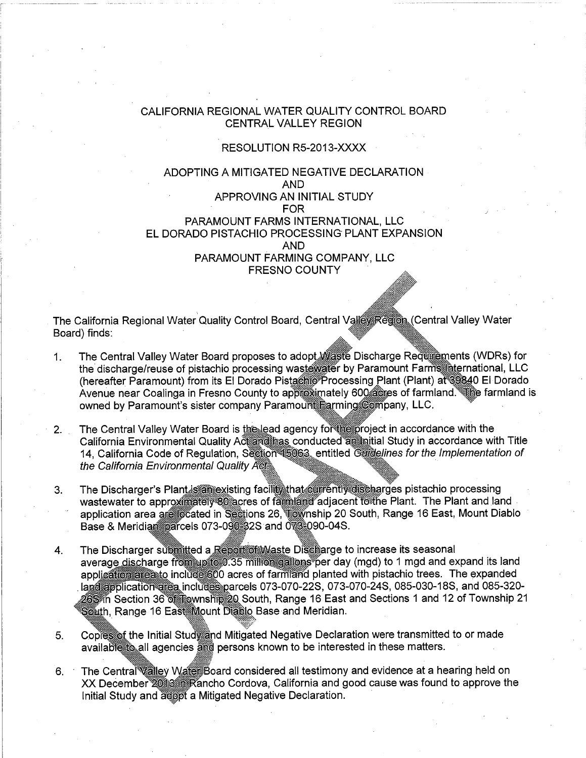## CALIFORNIA REGIONAL WATER QUALITY CONTROL BOARD **CENTRAL VALLEY REGION**

### RESOLUTION R5-2013-XXXX

# ADOPTING A MITIGATED NEGATIVE DECLARATION **AND** APPROVING AN INITIAL STUDY **FOR** PARAMOUNT FARMS INTERNATIONAL, LLC EL DORADO PISTACHIO PROCESSING PLANT EXPANSION **AND** PARAMOUNT FARMING COMPANY, LLC **FRESNO COUNTY**

The California Regional Water Quality Control Board, Central Valle Region (Central Valley Water Board) finds:

- The Central Valley Water Board proposes to adopt Maste Discharge Requirements (WDRs) for 1. the discharge/reuse of pistachio processing wastewater by Paramount Farms international, LLC (hereafter Paramount) from its El Dorado Pistachio Processing Plant (Plant) at 39840 El Dorado Avenue near Coalinga in Fresno County to approximately 600 acres of farmland. The farmland is owned by Paramount's sister company Paramount Parming Company, LLC.
- The Central Valley Water Board is the lead agency for the project in accordance with the  $2.$ California Environmental Quality Actardinas conducted antinitial Study in accordance with Title 14, California Code of Regulation, Section 15063, entitled Guidelines for the Implementation of the California Environmental Quality Acts
- The Discharger's Plant is an existing facility that currently discharges pistachio processing  $3<sub>1</sub>$ wastewater to approximately<sup>80</sup> acres of familiand adjacent to the Plant. The Plant and land application area are focated in Sections 26, wownship 20 South, Range 16 East, Mount Diablo Base & Meridian parcels 073-090 32S and 073-090-04S.
- The Discharger submitted a Report of Maste Discharge to increase its seasonal  $4.$ average discharge from up to 0.35 million gallons per day (mgd) to 1 mgd and expand its land application area include 600 acres of farmand planted with pistachio trees. The expanded langapplication area includes parcels 073-070-22S, 073-070-24S, 085-030-18S, and 085-320-26S in Section 36 of Rownship 20 South, Range 16 East and Sections 1 and 12 of Township 21 South, Range 16 East Mount Diablo Base and Meridian.
- Copiess of the Initial Study and Mitigated Negative Declaration were transmitted to or made 5. available to all agencies and persons known to be interested in these matters.
- The Central Walley WaterBoard considered all testimony and evidence at a hearing held on  $6.$ XX December 2013 Rancho Cordova, California and good cause was found to approve the Initial Study and adopt a Mitigated Negative Declaration.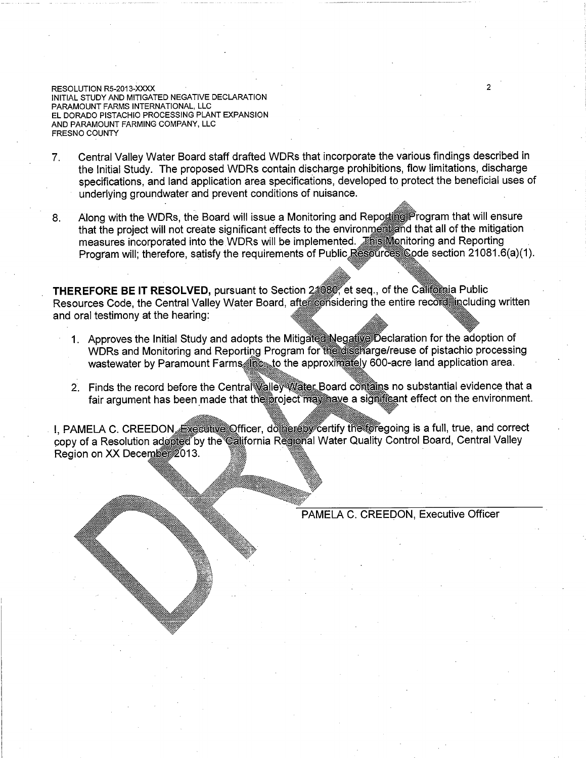RESOLUTION R5-2013-XXXX INITIAL STUDY AND MITIGATED NEGATIVE DECLARATION PARAMOUNT FARMS INTERNATIONAL, LLC EL DORADO PISTACHIO PROCESSING PLANT EXPANSION AND PARAMOUNT FARMING COMPANY, LLC FRESNO COUNTY

- Central Valley Water Board staff drafted WDRs that incorporate the various findings described in  $7<sub>1</sub>$ the Initial Study. The proposed WDRs contain discharge prohibitions, flow limitations, discharge specifications, and land application area specifications, developed to protect the beneficial uses of underlying groundwater and prevent conditions of nuisance.
- Along with the WDRs, the Board will issue a Monitoring and Reporting Program that will ensure 8. that the project will not create significant effects to the environment and that all of the mitigation measures incorporated into the WDRs will be implemented. This Menitoring and Reporting Program will; therefore, satisfy the requirements of Public Resources Code section 21081.6(a)(1).

THEREFORE BE IT RESOLVED, pursuant to Section 24080, et seq., of the California Public Resources Code, the Central Valley Water Board, after considering the entire record including written and oral testimony at the hearing:

- 1. Approves the Initial Study and adopts the Mitigate Negative Declaration for the adoption of WDRs and Monitoring and Reporting Program for the discharge/reuse of pistachio processing wastewater by Paramount Farms in the approximately 600-acre land application area.
- 2. Finds the record before the Central Walley Water Board contains no substantial evidence that a fair argument has been made that the project may have a significant effect on the environment.

I, PAMELA C. CREEDON, Executive Officer, do neglety certify the foregoing is a full, true, and correct copy of a Resolution adopted by the california Regional Water Quality Control Board, Central Valley Region on XX December 2013.

PAMELA C. CREEDON, Executive Officer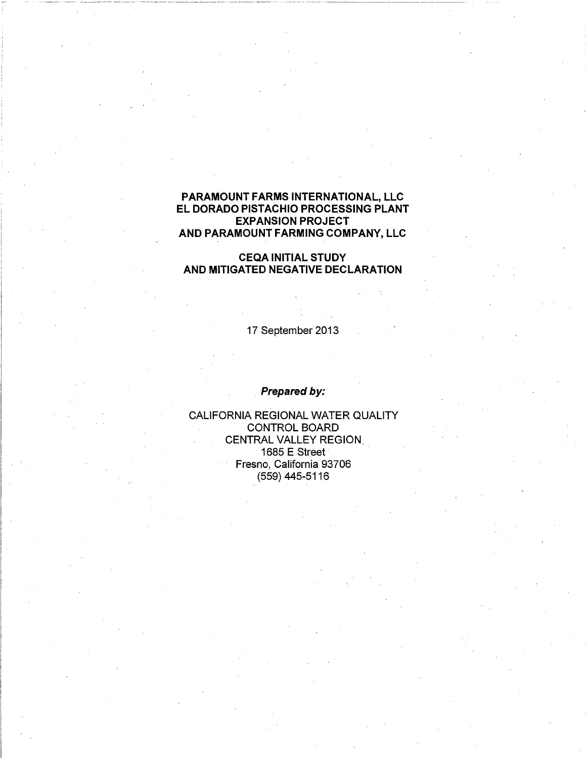# PARAMOUNT FARMS INTERNATIONAL, LLC EL DORADO PISTACHIO PROCESSING PLANT **EXPANSION PROJECT** AND PARAMOUNT FARMING COMPANY, LLC

# **CEQA INITIAL STUDY** AND MITIGATED NEGATIVE DECLARATION

17 September 2013

Prepared by:

CALIFORNIA REGIONAL WATER QUALITY **CONTROL BOARD CENTRAL VALLEY REGION.**  $1685 E$  Street Fresno, California 93706 (559) 445-5116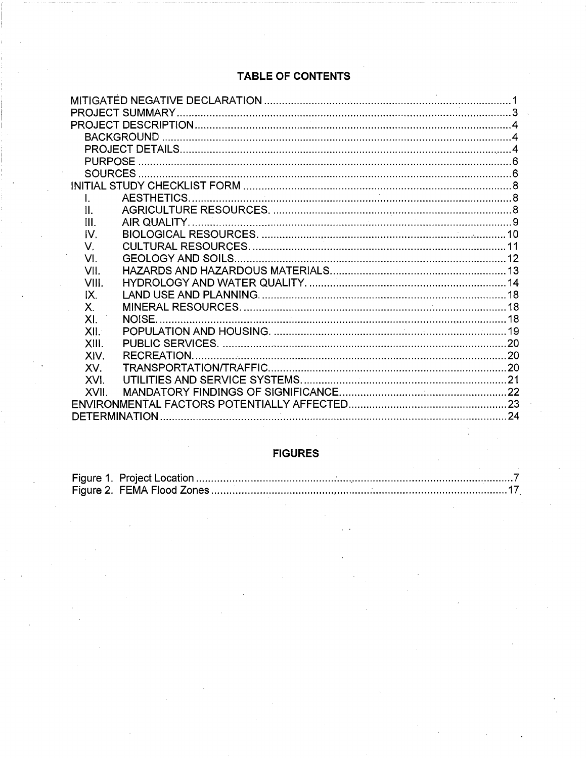# TABLE OF CONTENTS

| <b>PURPOSE</b> |        |  |  |  |  |  |
|----------------|--------|--|--|--|--|--|
|                |        |  |  |  |  |  |
|                |        |  |  |  |  |  |
| $\mathbf{I}$   |        |  |  |  |  |  |
| II.            |        |  |  |  |  |  |
| III.           |        |  |  |  |  |  |
| IV.            |        |  |  |  |  |  |
| V.             |        |  |  |  |  |  |
| VI.            |        |  |  |  |  |  |
| VII.           |        |  |  |  |  |  |
| VIII.          |        |  |  |  |  |  |
| IX.            |        |  |  |  |  |  |
| Χ.             |        |  |  |  |  |  |
| XL.            | NOISE. |  |  |  |  |  |
| XII.           |        |  |  |  |  |  |
| XIII.          |        |  |  |  |  |  |
| XIV.           |        |  |  |  |  |  |
| XV.            |        |  |  |  |  |  |
| XVI.           |        |  |  |  |  |  |
| XVII           |        |  |  |  |  |  |
|                |        |  |  |  |  |  |
|                |        |  |  |  |  |  |

# **FIGURES**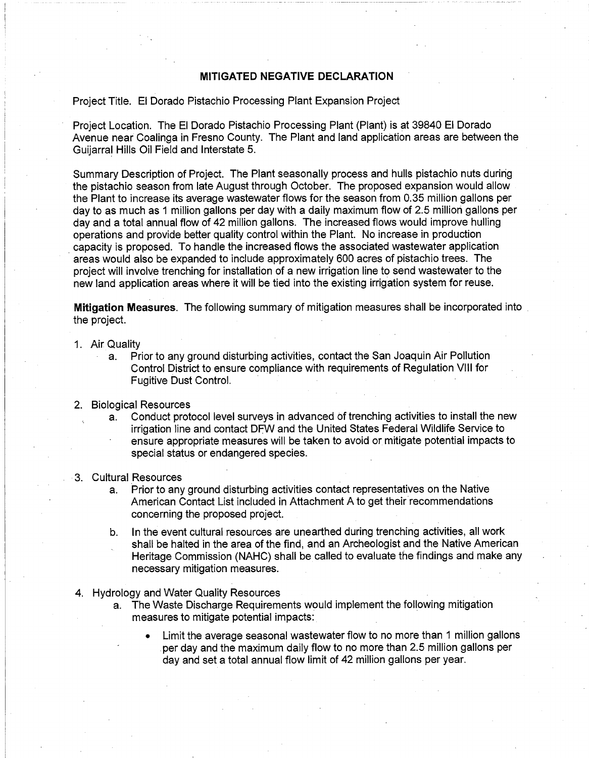### **MITIGATED NEGATIVE DECLARATION**

### Project Title. El Dorado Pistachio Processing Plant Expansion Project

Project Location. The El Dorado Pistachio Processing Plant (Plant) is at 39840 El Dorado Avenue near Coalinga in Fresno County. The Plant and land application areas are between the Guijarral Hills Oil Field and Interstate 5.

Summary Description of Project. The Plant seasonally process and hulls pistachio nuts during the pistachio season from late August through October. The proposed expansion would allow the Plant to increase its average wastewater flows for the season from 0.35 million gallons per day to as much as 1 million gallons per day with a daily maximum flow of 2.5 million gallons per day and a total annual flow of 42 million gallons. The increased flows would improve hulling operations and provide better quality control within the Plant. No increase in production capacity is proposed. To handle the increased flows the associated wastewater application areas would also be expanded to include approximately 600 acres of pistachio trees. The project will involve trenching for installation of a new irrigation line to send wastewater to the new land application areas where it will be tied into the existing irrigation system for reuse.

**Mitigation Measures.** The following summary of mitigation measures shall be incorporated into the project.

#### 1. Air Quality

Prior to any ground disturbing activities, contact the San Joaquin Air Pollution  $a<sub>1</sub>$ Control District to ensure compliance with requirements of Regulation VIII for **Fugitive Dust Control.** 

#### 2. Biological Resources

- Conduct protocol level surveys in advanced of trenching activities to install the new a. irrigation line and contact DFW and the United States Federal Wildlife Service to ensure appropriate measures will be taken to avoid or mitigate potential impacts to special status or endangered species.
- 3. Cultural Resources
	- Prior to any ground disturbing activities contact representatives on the Native  $a<sub>1</sub>$ American Contact List included in Attachment A to get their recommendations concerning the proposed project.
	- In the event cultural resources are unearthed during trenching activities, all work b. shall be halted in the area of the find, and an Archeologist and the Native American Heritage Commission (NAHC) shall be called to evaluate the findings and make any necessary mitigation measures.
- 4. Hydrology and Water Quality Resources
	- The Waste Discharge Requirements would implement the following mitigation a. measures to mitigate potential impacts:
		- Limit the average seasonal wastewater flow to no more than 1 million gallons  $\bullet$ per day and the maximum daily flow to no more than 2.5 million gallons per day and set a total annual flow limit of 42 million gallons per year.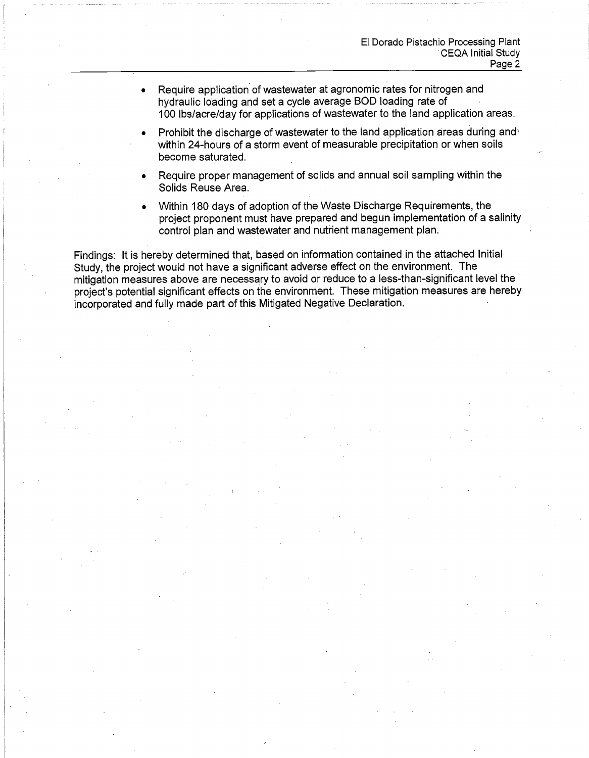- Require application of wastewater at agronomic rates for nitrogen and hydraulic loading and set a cycle average BOD loading rate of 100 lbs/acre/day for applications of wastewater to the land application areas.
- Prohibit the discharge of wastewater to the land application areas during and within 24-hours of a storm event of measurable precipitation or when soils become saturated.
- Require proper management of solids and annual soil sampling within the Solids Reuse Area.
- Within 180 days of adoption of the Waste Discharge Requirements, the project proponent must have prepared and begun implementation of a salinity control plan and wastewater and nutrient management plan.

Findings: It is hereby determined that, based on information contained in the attached Initial Study, the project would not have a significant adverse effect on the environment. The mitigation measures above are necessary to avoid or reduce to a less-than-significant level the project's potential significant effects on the environment. These mitigation measures are hereby incorporated and fully made part of this Mitigated Negative Declaration.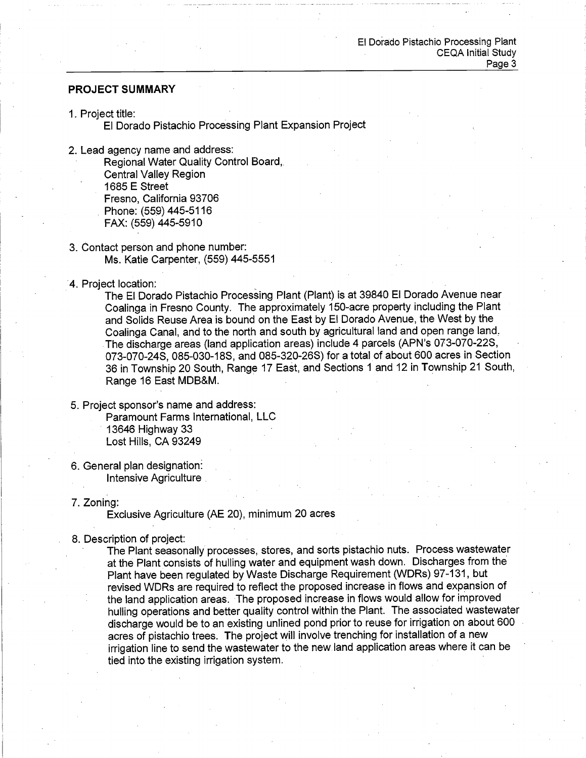### **PROJECT SUMMARY**

1. Project title:

El Dorado Pistachio Processing Plant Expansion Project

- 2. Lead agency name and address: Regional Water Quality Control Board. **Central Vallev Region** 1685 E Street Fresno. California 93706 Phone: (559) 445-5116 FAX: (559) 445-5910
- 3. Contact person and phone number: Ms. Katie Carpenter, (559) 445-5551
- 4. Project location:

The El Dorado Pistachio Processing Plant (Plant) is at 39840 El Dorado Avenue near Coalinga in Fresno County. The approximately 150-acre property including the Plant and Solids Reuse Area is bound on the East by El Dorado Avenue, the West by the Coalinga Canal, and to the north and south by agricultural land and open range land. The discharge areas (land application areas) include 4 parcels (APN's 073-070-22S, 073-070-24S, 085-030-18S, and 085-320-26S) for a total of about 600 acres in Section 36 in Township 20 South, Range 17 East, and Sections 1 and 12 in Township 21 South, Range 16 East MDB&M.

# 5. Project sponsor's name and address:

Paramount Farms International, LLC 13646 Highway 33 Lost Hills, CA 93249

- 6. General plan designation: Intensive Agriculture
- 7. Zoning:

Exclusive Agriculture (AE 20), minimum 20 acres

8. Description of project:

The Plant seasonally processes, stores, and sorts pistachio nuts. Process wastewater at the Plant consists of hulling water and equipment wash down. Discharges from the Plant have been regulated by Waste Discharge Requirement (WDRs) 97-131, but revised WDRs are required to reflect the proposed increase in flows and expansion of the land application areas. The proposed increase in flows would allow for improved hulling operations and better quality control within the Plant. The associated wastewater discharge would be to an existing unlined pond prior to reuse for irrigation on about 600 acres of pistachio trees. The project will involve trenching for installation of a new irrigation line to send the wastewater to the new land application areas where it can be tied into the existing irrigation system.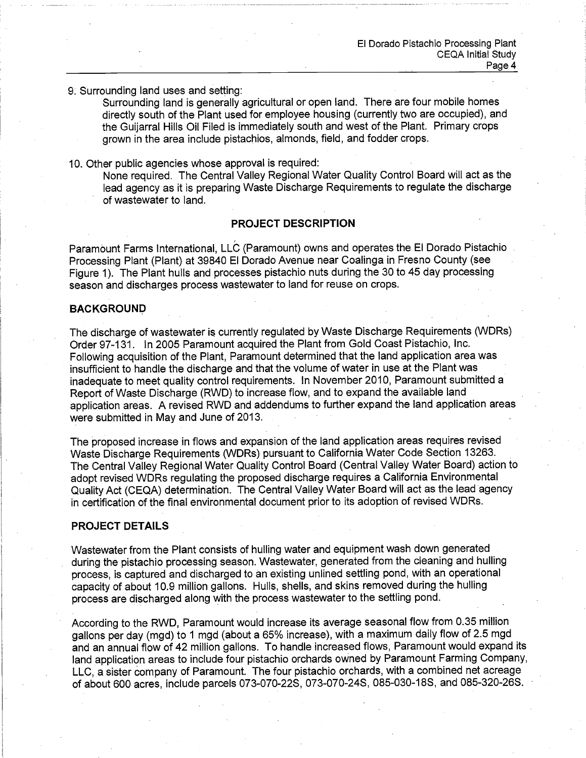## 9. Surrounding land uses and setting:

Surrounding land is generally agricultural or open land. There are four mobile homes directly south of the Plant used for employee housing (currently two are occupied), and the Guijarral Hills Oil Filed is immediately south and west of the Plant. Primary crops grown in the area include pistachios, almonds, field, and fodder crops.

### 10. Other public agencies whose approval is required:

None required. The Central Valley Regional Water Quality Control Board will act as the lead agency as it is preparing Waste Discharge Requirements to regulate the discharge of wastewater to land.

# **PROJECT DESCRIPTION**

Paramount Farms International, LLC (Paramount) owns and operates the El Dorado Pistachio Processing Plant (Plant) at 39840 El Dorado Avenue near Coalinga in Fresno County (see Figure 1). The Plant hulls and processes pistachio nuts during the 30 to 45 day processing season and discharges process wastewater to land for reuse on crops.

### **BACKGROUND**

The discharge of wastewater is currently regulated by Waste Discharge Requirements (WDRs) Order 97-131. In 2005 Paramount acquired the Plant from Gold Coast Pistachio. Inc. Following acquisition of the Plant, Paramount determined that the land application area was insufficient to handle the discharge and that the volume of water in use at the Plant was inadequate to meet quality control requirements. In November 2010, Paramount submitted a Report of Waste Discharge (RWD) to increase flow, and to expand the available land application areas. A revised RWD and addendums to further expand the land application areas were submitted in May and June of 2013.

The proposed increase in flows and expansion of the land application areas requires revised Waste Discharge Requirements (WDRs) pursuant to California Water Code Section 13263. The Central Valley Regional Water Quality Control Board (Central Valley Water Board) action to adopt revised WDRs regulating the proposed discharge requires a California Environmental Quality Act (CEQA) determination. The Central Valley Water Board will act as the lead agency in certification of the final environmental document prior to its adoption of revised WDRs.

### **PROJECT DETAILS**

Wastewater from the Plant consists of hulling water and equipment wash down generated during the pistachio processing season. Wastewater, generated from the cleaning and hulling process, is captured and discharged to an existing unlined settling pond, with an operational capacity of about 10.9 million gallons. Hulls, shells, and skins removed during the hulling process are discharged along with the process wastewater to the settling pond.

According to the RWD, Paramount would increase its average seasonal flow from 0.35 million gallons per day (mgd) to 1 mgd (about a 65% increase), with a maximum daily flow of 2.5 mgd and an annual flow of 42 million gallons. To handle increased flows, Paramount would expand its land application areas to include four pistachio orchards owned by Paramount Farming Company, LLC, a sister company of Paramount. The four pistachio orchards, with a combined net acreage of about 600 acres, include parcels 073-070-22S, 073-070-24S, 085-030-18S, and 085-320-26S.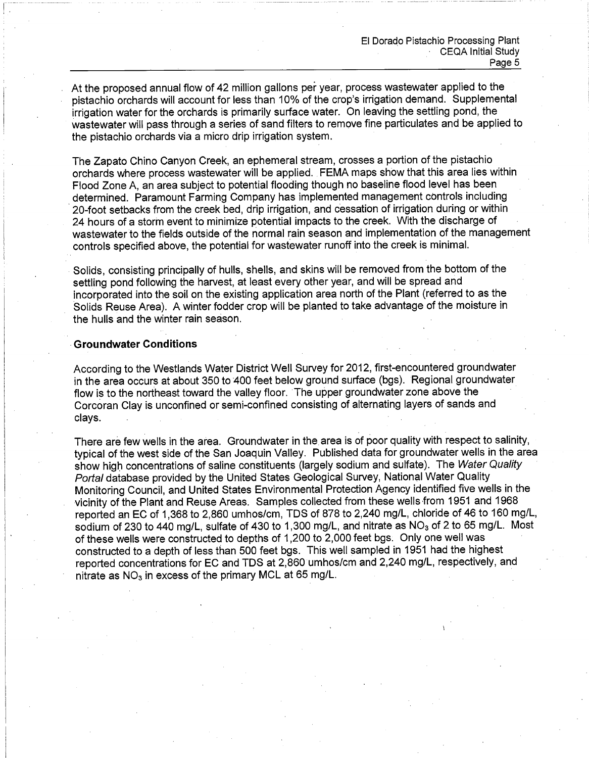At the proposed annual flow of 42 million gallons per year, process wastewater applied to the pistachio orchards will account for less than 10% of the crop's irrigation demand. Supplemental irrigation water for the orchards is primarily surface water. On leaving the settling pond, the wastewater will pass through a series of sand filters to remove fine particulates and be applied to the pistachio orchards via a micro drip irrigation system.

The Zapato Chino Canyon Creek, an ephemeral stream, crosses a portion of the pistachio orchards where process wastewater will be applied. FEMA maps show that this area lies within Flood Zone A, an area subject to potential flooding though no baseline flood level has been determined. Paramount Farming Company has implemented management controls including 20-foot setbacks from the creek bed, drip irrigation, and cessation of irrigation during or within 24 hours of a storm event to minimize potential impacts to the creek. With the discharge of wastewater to the fields outside of the normal rain season and implementation of the management controls specified above, the potential for wastewater runoff into the creek is minimal.

Solids, consisting principally of hulls, shells, and skins will be removed from the bottom of the settling pond following the harvest, at least every other year, and will be spread and incorporated into the soil on the existing application area north of the Plant (referred to as the Solids Reuse Area). A winter fodder crop will be planted to take advantage of the moisture in the hulls and the winter rain season.

### **Groundwater Conditions**

According to the Westlands Water District Well Survey for 2012, first-encountered groundwater in the area occurs at about 350 to 400 feet below ground surface (bgs). Regional groundwater flow is to the northeast toward the valley floor. The upper groundwater zone above the Corcoran Clay is unconfined or semi-confined consisting of alternating layers of sands and clays.

There are few wells in the area. Groundwater in the area is of poor quality with respect to salinity, typical of the west side of the San Joaquin Valley. Published data for groundwater wells in the area show high concentrations of saline constituents (largely sodium and sulfate). The Water Quality Portal database provided by the United States Geological Survey, National Water Quality Monitoring Council, and United States Environmental Protection Agency identified five wells in the vicinity of the Plant and Reuse Areas. Samples collected from these wells from 1951 and 1968 reported an EC of 1,368 to 2,860 umhos/cm, TDS of 878 to 2,240 mg/L, chloride of 46 to 160 mg/L, sodium of 230 to 440 mg/L, sulfate of 430 to 1,300 mg/L, and nitrate as NO<sub>3</sub> of 2 to 65 mg/L. Most of these wells were constructed to depths of 1,200 to 2,000 feet bgs. Only one well was constructed to a depth of less than 500 feet bgs. This well sampled in 1951 had the highest reported concentrations for EC and TDS at 2,860 umhos/cm and 2,240 mg/L, respectively, and nitrate as  $NO<sub>3</sub>$  in excess of the primary MCL at 65 mg/L.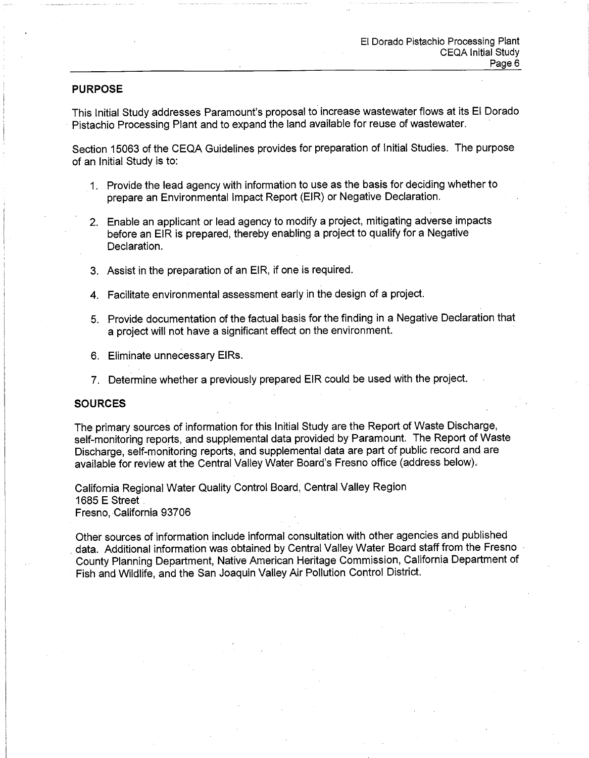### **PURPOSE**

This Initial Study addresses Paramount's proposal to increase wastewater flows at its El Dorado Pistachio Processing Plant and to expand the land available for reuse of wastewater.

Section 15063 of the CEQA Guidelines provides for preparation of Initial Studies. The purpose of an Initial Study is to:

- 1. Provide the lead agency with information to use as the basis for deciding whether to prepare an Environmental Impact Report (EIR) or Negative Declaration.
- 2. Enable an applicant or lead agency to modify a project, mitigating adverse impacts before an EIR is prepared, thereby enabling a project to qualify for a Negative Declaration.
- 3. Assist in the preparation of an EIR, if one is required.
- 4. Facilitate environmental assessment early in the design of a project.
- 5. Provide documentation of the factual basis for the finding in a Negative Declaration that a project will not have a significant effect on the environment.
- 6. Eliminate unnecessary EIRs.
- 7. Determine whether a previously prepared EIR could be used with the proiect.

#### **SOURCES**

The primary sources of information for this Initial Study are the Report of Waste Discharge, self-monitoring reports, and supplemental data provided by Paramount. The Report of Waste Discharge, self-monitoring reports, and supplemental data are part of public record and are available for review at the Central Valley Water Board's Fresno office (address below).

California Regional Water Quality Control Board, Central Valley Region 1685 E Street Fresno, California 93706

Other sources of information include informal consultation with other agencies and published data. Additional information was obtained by Central Valley Water Board staff from the Fresno County Planning Department, Native American Heritage Commission, California Department of Fish and Wildlife, and the San Joaquin Valley Air Pollution Control District.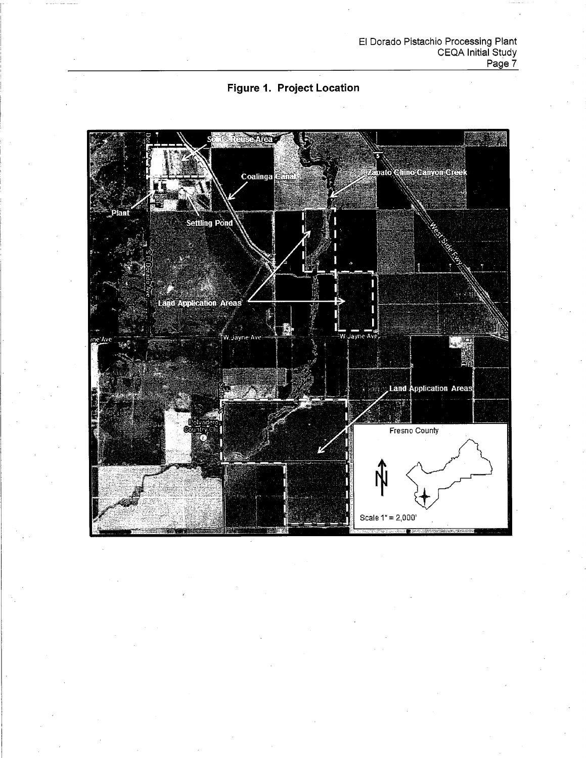

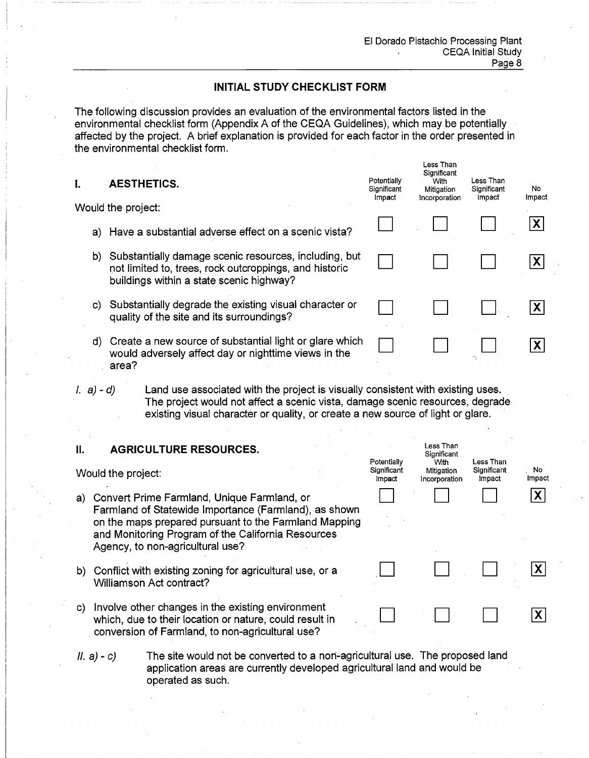Less Than

Less Than

Significant

# **INITIAL STUDY CHECKLIST FORM**

The following discussion provides an evaluation of the environmental factors listed in the environmental checklist form (Appendix A of the CEQA Guidelines), which may be potentially affected by the project. A brief explanation is provided for each factor in the order presented in the environmental checklist form.

| l.   | <b>AESTHETICS.</b>                                                                                                                                             | Potentially<br>Significant<br>Impact | Significant<br>With<br>Mitigation<br>Incorporation | Less Than<br>Significant<br>Impact | No<br>Impact |
|------|----------------------------------------------------------------------------------------------------------------------------------------------------------------|--------------------------------------|----------------------------------------------------|------------------------------------|--------------|
|      | Would the project:                                                                                                                                             |                                      |                                                    |                                    |              |
|      | a) Have a substantial adverse effect on a scenic vista?                                                                                                        |                                      |                                                    |                                    | X            |
|      | b) Substantially damage scenic resources, including, but<br>not limited to, trees, rock outcroppings, and historic<br>buildings within a state scenic highway? |                                      |                                                    |                                    | $\mathsf{X}$ |
| .C). | Substantially degrade the existing visual character or<br>quality of the site and its surroundings?                                                            |                                      |                                                    |                                    |              |
|      | d) Create a new source of substantial light or glare which<br>would adversely affect day or nighttime views in the                                             |                                      |                                                    |                                    |              |

 $l. a) - d$ Land use associated with the project is visually consistent with existing uses. The project would not affect a scenic vista, damage scenic resources, degrade existing visual character or quality, or create a new source of light or glare.

#### **AGRICULTURE RESOURCES.**  $II.$

area?

- Potentially Less Than With No Significant Mitigation Significant Would the project: Impact Impact Impact Incorporation  $\overline{\mathbf{X}}$ a) Convert Prime Farmland, Unique Farmland, or Farmland of Statewide Importance (Farmland), as shown on the maps prepared pursuant to the Farmland Mapping and Monitoring Program of the California Resources Agency, to non-agricultural use?  $|\mathsf{X}|$ b) Conflict with existing zoning for agricultural use, or a Williamson Act contract? c) Involve other changes in the existing environment  $|\boldsymbol{\mathsf{X}}|$ which, due to their location or nature, could result in conversion of Farmland, to non-agricultural use?
- The site would not be converted to a non-agricultural use. The proposed land  $|I. a) - c|$ application areas are currently developed agricultural land and would be operated as such.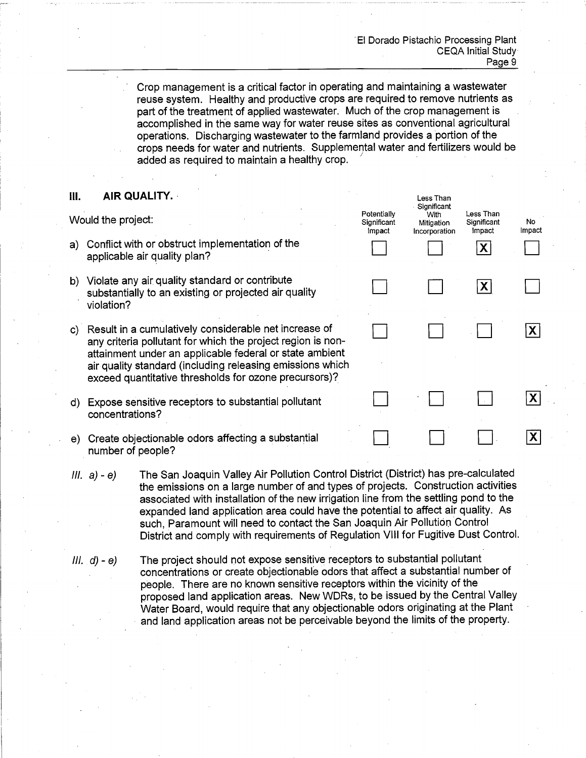Crop management is a critical factor in operating and maintaining a wastewater reuse system. Healthy and productive crops are required to remove nutrients as part of the treatment of applied wastewater. Much of the crop management is accomplished in the same way for water reuse sites as conventional agricultural operations. Discharging wastewater to the farmland provides a portion of the crops needs for water and nutrients. Supplemental water and fertilizers would be added as required to maintain a healthy crop.

#### III. AIR QUALITY.

Would the project:

- a) Conflict with or obstruct implementation of the applicable air quality plan?
- b) Violate any air quality standard or contribute substantially to an existing or projected air quality violation?
- c) Result in a cumulatively considerable net increase of any criteria pollutant for which the project region is nonattainment under an applicable federal or state ambient air quality standard (including releasing emissions which exceed quantitative thresholds for ozone precursors)?
- d) Expose sensitive receptors to substantial pollutant concentrations?
- e) Create objectionable odors affecting a substantial number of people?
- The San Joaquin Valley Air Pollution Control District (District) has pre-calculated  $III. a) - e$ the emissions on a large number of and types of projects. Construction activities associated with installation of the new irrigation line from the settling pond to the expanded land application area could have the potential to affect air quality. As such, Paramount will need to contact the San Joaquin Air Pollution Control District and comply with requirements of Regulation VIII for Fugitive Dust Control.
- The project should not expose sensitive receptors to substantial pollutant  $III. d - e$ concentrations or create objectionable odors that affect a substantial number of people. There are no known sensitive receptors within the vicinity of the proposed land application areas. New WDRs, to be issued by the Central Valley Water Board, would require that any objectionable odors originating at the Plant and land application areas not be perceivable beyond the limits of the property.

| Potentially<br>Significant<br>Impact | Less Inan<br>Significant<br>With<br>Mitigation<br>Incorporation | Less Than<br>Significant<br>Impact<br>$\mathbf{x}$ | No<br>Impact   |
|--------------------------------------|-----------------------------------------------------------------|----------------------------------------------------|----------------|
|                                      |                                                                 | $ \mathsf{X} $                                     |                |
|                                      |                                                                 |                                                    | $ \mathsf{X} $ |
|                                      |                                                                 |                                                    |                |
|                                      |                                                                 |                                                    | X              |
|                                      |                                                                 |                                                    |                |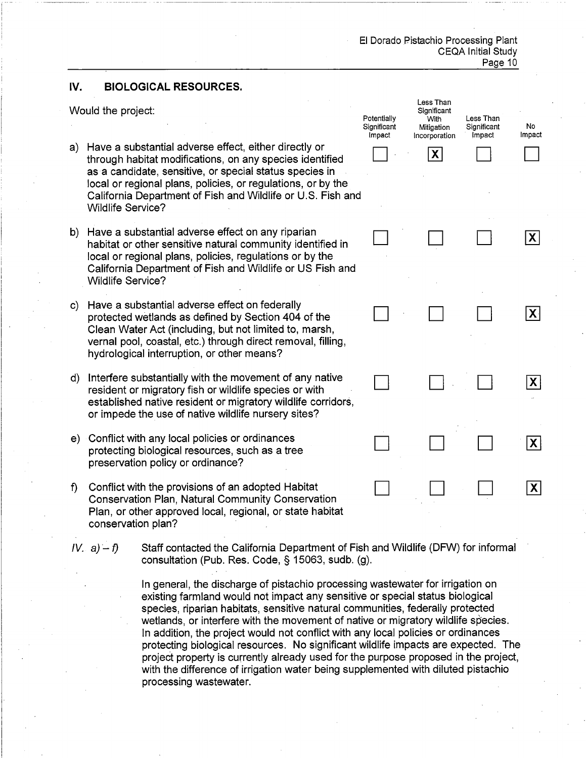#### $IV.$ **BIOLOGICAL RESOURCES.**

Would the project:

- a) Have a substantial adverse effect, either directly or through habitat modifications, on any species identified as a candidate, sensitive, or special status species in local or regional plans, policies, or regulations, or by the California Department of Fish and Wildlife or U.S. Fish and **Wildlife Service?**
- b) Have a substantial adverse effect on any riparian habitat or other sensitive natural community identified in local or regional plans, policies, regulations or by the California Department of Fish and Wildlife or US Fish and **Wildlife Service?**
- c) Have a substantial adverse effect on federally protected wetlands as defined by Section 404 of the Clean Water Act (including, but not limited to, marsh, vernal pool, coastal, etc.) through direct removal, filling, hydrological interruption, or other means?
- d) Interfere substantially with the movement of any native resident or migratory fish or wildlife species or with established native resident or migratory wildlife corridors, or impede the use of native wildlife nursery sites?
- e) Conflict with any local policies or ordinances protecting biological resources, such as a tree preservation policy or ordinance?
- f) Conflict with the provisions of an adopted Habitat **Conservation Plan, Natural Community Conservation** Plan, or other approved local, regional, or state habitat conservation plan?
- $IV. a) f$ Staff contacted the California Department of Fish and Wildlife (DFW) for informal consultation (Pub. Res. Code, § 15063, sudb. (g).

In general, the discharge of pistachio processing wastewater for irrigation on existing farmland would not impact any sensitive or special status biological species, riparian habitats, sensitive natural communities, federally protected wetlands, or interfere with the movement of native or migratory wildlife species. In addition, the project would not conflict with any local policies or ordinances protecting biological resources. No significant wildlife impacts are expected. The project property is currently already used for the purpose proposed in the project. with the difference of irrigation water being supplemented with diluted pistachio processing wastewater.

| Potentially<br>Significant<br>Impact | Less Than<br>Significant<br>.<br>With<br>Mitigation<br>Incorporation<br>X | Less Than<br>Significant<br>Impact | No<br>Impact                  |
|--------------------------------------|---------------------------------------------------------------------------|------------------------------------|-------------------------------|
|                                      |                                                                           |                                    | $ \mathsf{X} $                |
|                                      |                                                                           |                                    | $ \mathsf{X} $                |
|                                      |                                                                           |                                    | $\overline{\mathbf{X}}$<br>Ţ, |
|                                      |                                                                           |                                    | X                             |
|                                      |                                                                           |                                    | χ                             |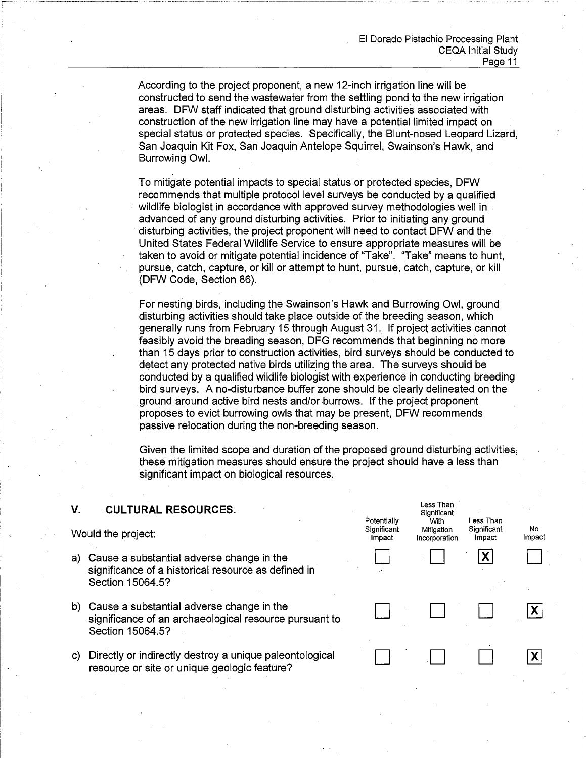Less Than

Significant

With

Mitigation

Incorporation

Less Than

Significant

Impact

Χ

No

Impact

 $\mathsf{X}$ 

|X|

Potentially

Significant

Impact

According to the project proponent, a new 12-inch irrigation line will be constructed to send the wastewater from the settling pond to the new irrigation areas. DFW staff indicated that ground disturbing activities associated with construction of the new irrigation line may have a potential limited impact on special status or protected species. Specifically, the Blunt-nosed Leopard Lizard, San Joaquin Kit Fox, San Joaquin Antelope Squirrel, Swainson's Hawk, and Burrowing Owl.

To mitigate potential impacts to special status or protected species. DFW recommends that multiple protocol level surveys be conducted by a qualified wildlife biologist in accordance with approved survey methodologies well in advanced of any ground disturbing activities. Prior to initiating any ground disturbing activities, the project proponent will need to contact DFW and the United States Federal Wildlife Service to ensure appropriate measures will be taken to avoid or mitigate potential incidence of "Take". "Take" means to hunt. pursue, catch, capture, or kill or attempt to hunt, pursue, catch, capture, or kill (DFW Code, Section 86).

For nesting birds, including the Swainson's Hawk and Burrowing Owl, ground disturbing activities should take place outside of the breeding season, which generally runs from February 15 through August 31. If project activities cannot feasibly avoid the breading season, DFG recommends that beginning no more than 15 days prior to construction activities, bird surveys should be conducted to detect any protected native birds utilizing the area. The surveys should be conducted by a qualified wildlife biologist with experience in conducting breeding bird surveys. A no-disturbance buffer zone should be clearly delineated on the ground around active bird nests and/or burrows. If the project proponent proposes to evict burrowing owls that may be present. DFW recommends passive relocation during the non-breeding season.

Given the limited scope and duration of the proposed ground disturbing activities. these mitigation measures should ensure the project should have a less than significant impact on biological resources.

#### V. **CULTURAL RESOURCES.**

Would the project:

- a) Cause a substantial adverse change in the significance of a historical resource as defined in Section 15064.5?
- b) Cause a substantial adverse change in the significance of an archaeological resource pursuant to Section 15064.5?
- c) Directly or indirectly destroy a unique paleontological resource or site or unique geologic feature?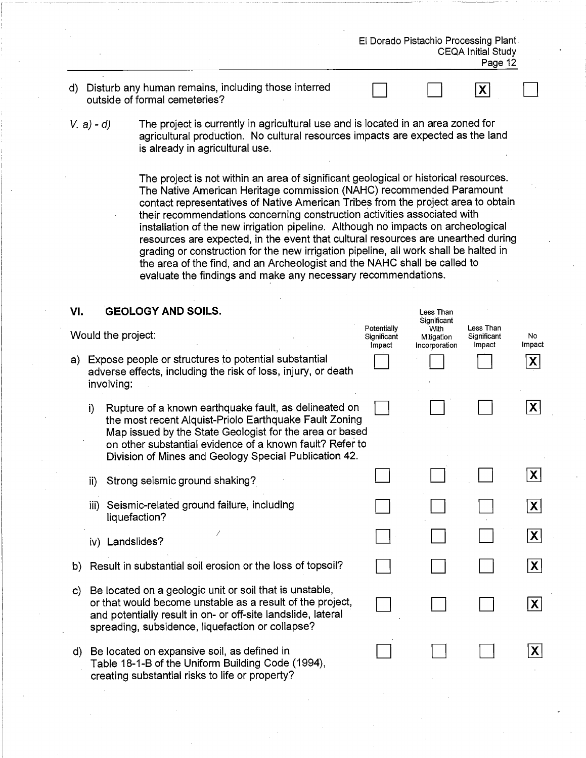|              |             |                                                                                                                                                                                                                                                                                                                                                                                                                                                                                                                                                                                                                                                                                                                                               |                                      |                                     | El Dorado Pistachio Processing Plant<br><b>CEQA Initial Study</b><br>Page 12 |                             |
|--------------|-------------|-----------------------------------------------------------------------------------------------------------------------------------------------------------------------------------------------------------------------------------------------------------------------------------------------------------------------------------------------------------------------------------------------------------------------------------------------------------------------------------------------------------------------------------------------------------------------------------------------------------------------------------------------------------------------------------------------------------------------------------------------|--------------------------------------|-------------------------------------|------------------------------------------------------------------------------|-----------------------------|
|              |             | d) Disturb any human remains, including those interred<br>outside of formal cemeteries?                                                                                                                                                                                                                                                                                                                                                                                                                                                                                                                                                                                                                                                       |                                      |                                     | X                                                                            |                             |
|              | $V. a) - d$ | The project is currently in agricultural use and is located in an area zoned for<br>agricultural production. No cultural resources impacts are expected as the land<br>is already in agricultural use.                                                                                                                                                                                                                                                                                                                                                                                                                                                                                                                                        |                                      |                                     |                                                                              |                             |
|              |             | The project is not within an area of significant geological or historical resources.<br>The Native American Heritage commission (NAHC) recommended Paramount<br>contact representatives of Native American Tribes from the project area to obtain<br>their recommendations concerning construction activities associated with<br>installation of the new irrigation pipeline. Although no impacts on archeological<br>resources are expected, in the event that cultural resources are unearthed during<br>grading or construction for the new irrigation pipeline, all work shall be halted in<br>the area of the find, and an Archeologist and the NAHC shall be called to<br>evaluate the findings and make any necessary recommendations. |                                      |                                     |                                                                              |                             |
| VI.          |             | <b>GEOLOGY AND SOILS.</b>                                                                                                                                                                                                                                                                                                                                                                                                                                                                                                                                                                                                                                                                                                                     |                                      | Less Than<br>Significant            |                                                                              |                             |
|              |             | Would the project:                                                                                                                                                                                                                                                                                                                                                                                                                                                                                                                                                                                                                                                                                                                            | Potentially<br>Significant<br>Impact | With<br>Mitigation<br>Incorporation | Less Than<br>Significant<br>Impact                                           | No<br>Impact                |
|              | involving:  | a) Expose people or structures to potential substantial<br>adverse effects, including the risk of loss, injury, or death                                                                                                                                                                                                                                                                                                                                                                                                                                                                                                                                                                                                                      |                                      |                                     |                                                                              | $\vert X \vert$             |
|              | i)          | Rupture of a known earthquake fault, as delineated on<br>the most recent Alquist-Priolo Earthquake Fault Zoning<br>Map issued by the State Geologist for the area or based<br>on other substantial evidence of a known fault? Refer to<br>Division of Mines and Geology Special Publication 42.                                                                                                                                                                                                                                                                                                                                                                                                                                               |                                      |                                     |                                                                              | $ \boldsymbol{\mathsf{X}} $ |
|              | ii)         | Strong seismic ground shaking?                                                                                                                                                                                                                                                                                                                                                                                                                                                                                                                                                                                                                                                                                                                |                                      |                                     |                                                                              | $ \mathsf{X} $              |
|              | iii)        | Seismic-related ground failure, including<br>liquefaction?                                                                                                                                                                                                                                                                                                                                                                                                                                                                                                                                                                                                                                                                                    |                                      |                                     |                                                                              | $ \mathsf{X} $              |
|              |             | iv) Landslides?                                                                                                                                                                                                                                                                                                                                                                                                                                                                                                                                                                                                                                                                                                                               |                                      |                                     |                                                                              | $ \mathsf{X} $              |
| b)           |             | Result in substantial soil erosion or the loss of topsoil?                                                                                                                                                                                                                                                                                                                                                                                                                                                                                                                                                                                                                                                                                    |                                      |                                     |                                                                              | $ {\bf X} $                 |
| $\mathbf{C}$ |             | Be located on a geologic unit or soil that is unstable,<br>or that would become unstable as a result of the project,<br>and potentially result in on- or off-site landslide, lateral<br>spreading, subsidence, liquefaction or collapse?                                                                                                                                                                                                                                                                                                                                                                                                                                                                                                      |                                      |                                     |                                                                              | $ \mathsf{X} $              |
| d)           |             | Be located on expansive soil, as defined in<br>Table 18-1-B of the Uniform Building Code (1994),<br>creating substantial risks to life or property?                                                                                                                                                                                                                                                                                                                                                                                                                                                                                                                                                                                           |                                      |                                     |                                                                              | $\mathsf{X}$                |

 $\overline{\phantom{a}}$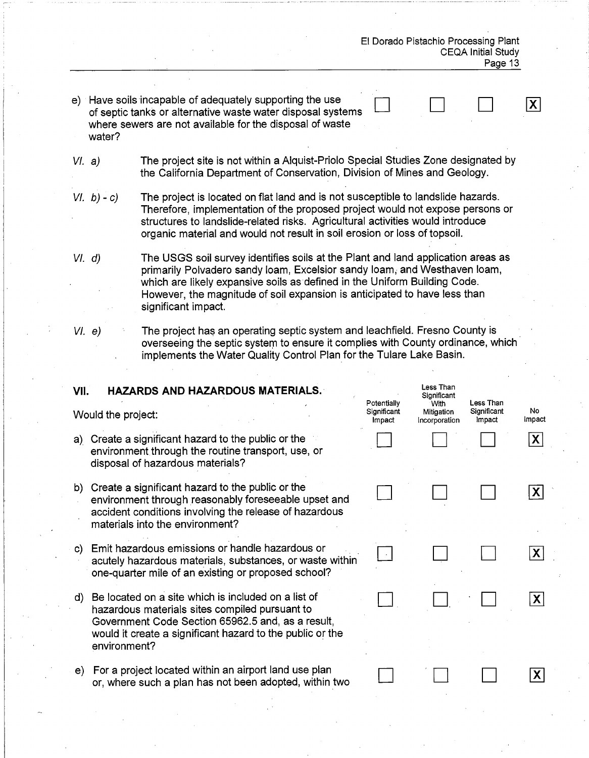$|\mathbf{X}|$ 

- e) Have soils incapable of adequately supporting the use of septic tanks or alternative waste water disposal systems where sewers are not available for the disposal of waste water?
- $VI. a)$ The project site is not within a Alguist-Priolo Special Studies Zone designated by the California Department of Conservation, Division of Mines and Geology.
- The project is located on flat land and is not susceptible to landslide hazards.  $VI. b) - c$ Therefore, implementation of the proposed project would not expose persons or structures to landslide-related risks. Agricultural activities would introduce organic material and would not result in soil erosion or loss of topsoil.
- The USGS soil survey identifies soils at the Plant and land application areas as  $VI. d)$ primarily Polvadero sandy loam, Excelsior sandy loam, and Westhaven loam, which are likely expansive soils as defined in the Uniform Building Code. However, the magnitude of soil expansion is anticipated to have less than significant impact.
- $VI. e)$

The project has an operating septic system and leachfield. Fresno County is overseeing the septic system to ensure it complies with County ordinance, which implements the Water Quality Control Plan for the Tulare Lake Basin.

| VII. | <b>HAZARDS AND HAZARDOUS MATERIALS.</b><br>Would the project:                                                                                                                                                                           | Potentially<br>Significant<br>Impact | Less Than<br>Significant<br>With<br>Mitigation<br>Incorporation | Less Than<br>Significant<br>Impact | No<br>Impact |
|------|-----------------------------------------------------------------------------------------------------------------------------------------------------------------------------------------------------------------------------------------|--------------------------------------|-----------------------------------------------------------------|------------------------------------|--------------|
|      | a) Create a significant hazard to the public or the<br>environment through the routine transport, use, or<br>disposal of hazardous materials?                                                                                           |                                      |                                                                 |                                    | X            |
| b)   | Create a significant hazard to the public or the<br>environment through reasonably foreseeable upset and<br>accident conditions involving the release of hazardous<br>materials into the environment?                                   |                                      |                                                                 |                                    | $\mathsf{X}$ |
| C)   | Emit hazardous emissions or handle hazardous or<br>acutely hazardous materials, substances, or waste within<br>one-quarter mile of an existing or proposed school?                                                                      |                                      |                                                                 |                                    | $\mathsf{X}$ |
| d)   | Be located on a site which is included on a list of<br>hazardous materials sites compiled pursuant to<br>Government Code Section 65962.5 and, as a result,<br>would it create a significant hazard to the public or the<br>environment? |                                      |                                                                 |                                    | $\mathsf{X}$ |
| e)   | For a project located within an airport land use plan<br>or, where such a plan has not been adopted, within two                                                                                                                         |                                      |                                                                 |                                    |              |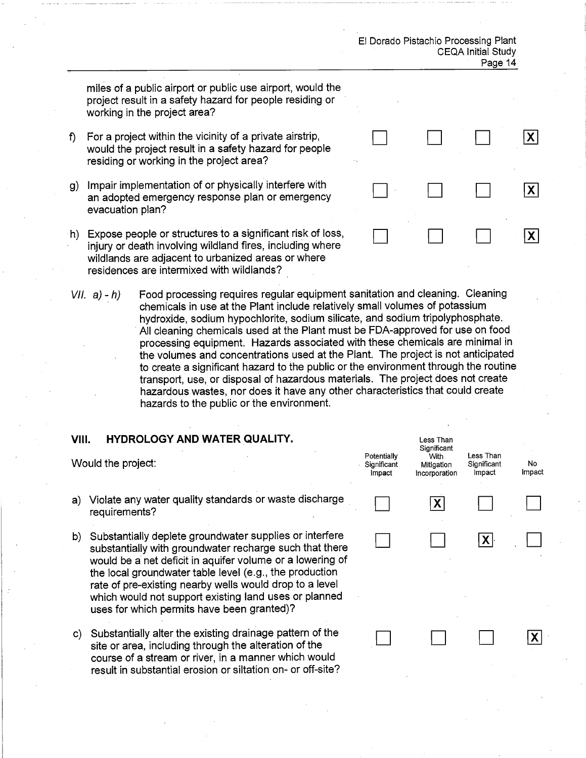χI

 $|\mathbf{X}|$ 

|X|

IXI

miles of a public airport or public use airport, would the project result in a safety hazard for people residing or working in the project area?

- For a project within the vicinity of a private airstrip, f). would the project result in a safety hazard for people residing or working in the project area?
- g) Impair implementation of or physically interfere with an adopted emergency response plan or emergency evacuation plan?
- h) Expose people or structures to a significant risk of loss, injury or death involving wildland fires, including where wildlands are adiacent to urbanized areas or where residences are intermixed with wildlands?
- Food processing requires regular equipment sanitation and cleaning. Cleaning  $VII. a) - h$ chemicals in use at the Plant include relatively small volumes of potassium hydroxide, sodium hypochlorite, sodium silicate, and sodium tripolyphosphate. All cleaning chemicals used at the Plant must be FDA-approved for use on food processing equipment. Hazards associated with these chemicals are minimal in the volumes and concentrations used at the Plant. The project is not anticipated to create a significant hazard to the public or the environment through the routine transport, use, or disposal of hazardous materials. The project does not create hazardous wastes, nor does it have any other characteristics that could create hazards to the public or the environment.

#### **HYDROLOGY AND WATER QUALITY.** VIII.

| Would the project: |                                                                                                                                                                                                                                                                                                                                                                                                              |  | With<br>Mitigation<br>Incorporation | Less Than<br>Significant<br>Impact | No.<br>Impact |
|--------------------|--------------------------------------------------------------------------------------------------------------------------------------------------------------------------------------------------------------------------------------------------------------------------------------------------------------------------------------------------------------------------------------------------------------|--|-------------------------------------|------------------------------------|---------------|
| a)                 | Violate any water quality standards or waste discharge<br>requirements?                                                                                                                                                                                                                                                                                                                                      |  |                                     |                                    |               |
| b)                 | Substantially deplete groundwater supplies or interfere<br>substantially with groundwater recharge such that there<br>would be a net deficit in aquifer volume or a lowering of<br>the local groundwater table level (e.g., the production<br>rate of pre-existing nearby wells would drop to a level<br>which would not support existing land uses or planned<br>uses for which permits have been granted)? |  |                                     | X                                  |               |

c) Substantially alter the existing drainage pattern of the site or area, including through the alteration of the course of a stream or river, in a manner which would result in substantial erosion or siltation on- or off-site? Less Than Significant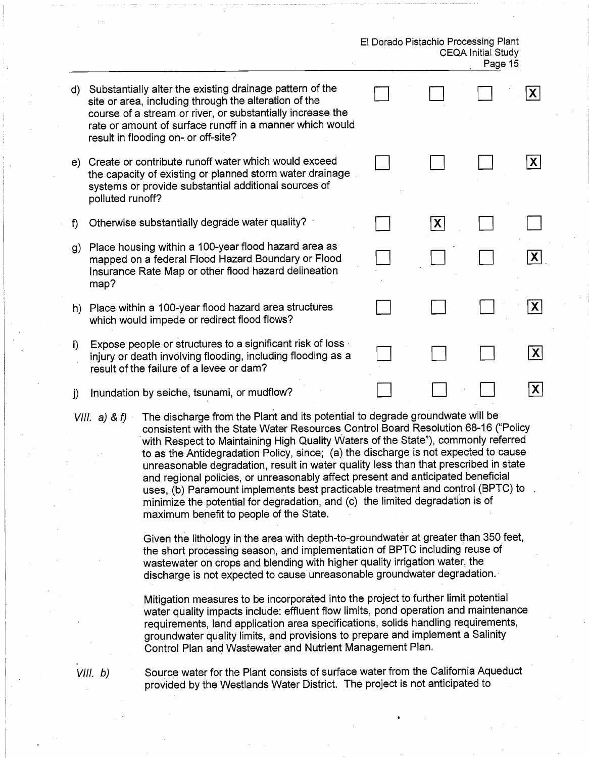- d) Substantially alter the existing drainage pattern of the  $\mathbf{X}$ site or area, including through the alteration of the course of a stream or river, or substantially increase the rate or amount of surface runoff in a manner which would result in flooding on- or off-site? e) Create or contribute runoff water which would exceed  $|\mathbf{X}|$ the capacity of existing or planned storm water drainage systems or provide substantial additional sources of polluted runoff?  $\mathsf{f}$ Otherwise substantially degrade water quality?  $|X|$ g) Place housing within a 100-year flood hazard area as mapped on a federal Flood Hazard Boundary or Flood Insurance Rate Map or other flood hazard delineation map? X h) Place within a 100-year flood hazard area structures which would impede or redirect flood flows? Expose people or structures to a significant risk of loss is  $i$  $|\boldsymbol{\mathsf{X}}|$ injury or death involving flooding, including flooding as a result of the failure of a levee or dam?  $|X|$ Inundation by seiche, tsunami, or mudflow?  $\mathbf{i}$
- The discharge from the Plant and its potential to degrade groundwate will be VIII.  $a)$  &  $f)$ consistent with the State Water Resources Control Board Resolution 68-16 ("Policy with Respect to Maintaining High Quality Waters of the State"), commonly referred to as the Antidegradation Policy, since; (a) the discharge is not expected to cause unreasonable degradation, result in water quality less than that prescribed in state and regional policies, or unreasonably affect present and anticipated beneficial uses. (b) Paramount implements best practicable treatment and control (BPTC) to minimize the potential for degradation, and (c) the limited degradation is of maximum benefit to people of the State.

Given the lithology in the area with depth-to-groundwater at greater than 350 feet, the short processing season, and implementation of BPTC including reuse of wastewater on crops and blending with higher quality irrigation water, the discharge is not expected to cause unreasonable groundwater degradation.

Mitigation measures to be incorporated into the project to further limit potential water quality impacts include: effluent flow limits, pond operation and maintenance requirements, land application area specifications, solids handling requirements, groundwater quality limits, and provisions to prepare and implement a Salinity Control Plan and Wastewater and Nutrient Management Plan.

 $VIII. b)$ 

Source water for the Plant consists of surface water from the California Aqueduct provided by the Westlands Water District. The project is not anticipated to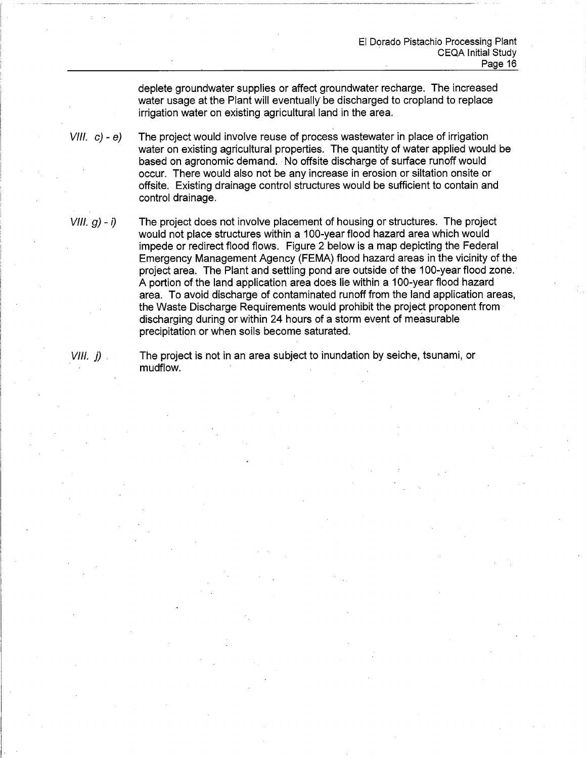deplete groundwater supplies or affect groundwater recharge. The increased water usage at the Plant will eventually be discharged to cropland to replace irrigation water on existing agricultural land in the area.

 $VIII. c) - e$ The project would involve reuse of process wastewater in place of irrigation water on existing agricultural properties. The quantity of water applied would be based on agronomic demand. No offsite discharge of surface runoff would occur. There would also not be any increase in erosion or siltation onsite or offsite. Existing drainage control structures would be sufficient to contain and control drainage.

 $VIII. g) - i$ The project does not involve placement of housing or structures. The project would not place structures within a 100-year flood hazard area which would impede or redirect flood flows. Figure 2 below is a map depicting the Federal Emergency Management Agency (FEMA) flood hazard areas in the vicinity of the project area. The Plant and settling pond are outside of the 100-vear flood zone. A portion of the land application area does lie within a 100-year flood hazard area. To avoid discharge of contaminated runoff from the land application areas, the Waste Discharge Requirements would prohibit the project proponent from discharging during or within 24 hours of a storm event of measurable precipitation or when soils become saturated.

 $VIII.$  i)  $\therefore$ 

The project is not in an area subject to inundation by seiche, tsunami, or mudflow.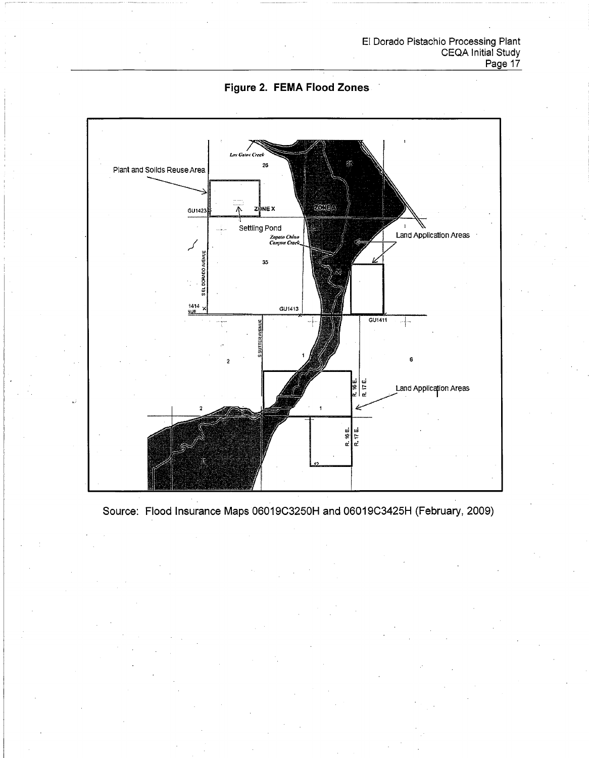



Source: Flood Insurance Maps 06019C3250H and 06019C3425H (February, 2009)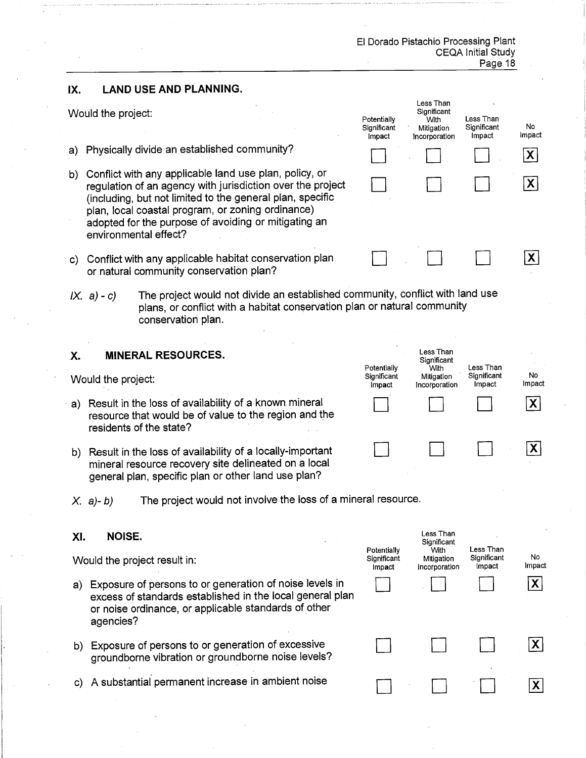> Less Than Significant

.<br>With

Mitigation

Incorporation

Potentially

Significant

Impact

Less Than

Significant

Impact

**No** 

Impact

 $\mathsf{X}$ 

**X** 

 $\mathbf{X}$ 

#### IX. **LAND USE AND PLANNING.**

Would the project:

- a) Physically divide an established community?
- b) Conflict with any applicable land use plan, policy, or regulation of an agency with jurisdiction over the project (including, but not limited to the general plan, specific plan, local coastal program, or zoning ordinance) adopted for the purpose of avoiding or mitigating an environmental effect?
- c) Conflict with any applicable habitat conservation plan or natural community conservation plan?
- The project would not divide an established community, conflict with land use  $IX. a) - c)$ plans, or conflict with a habitat conservation plan or natural community conservation plan.

#### Χ. **MINERAL RESOURCES.**

Would the project:

- a) Result in the loss of availability of a known mineral resource that would be of value to the region and the residents of the state?
- b) Result in the loss of availability of a locally-important mineral resource recovery site delineated on a local general plan, specific plan or other land use plan?



The project would not involve the loss of a mineral resource.  $X$ . a)-b)

#### XI. NOISE.

Would the project result in:

- a) Exposure of persons to or generation of noise levels in excess of standards established in the local general plan or noise ordinance, or applicable standards of other agencies?
- b) Exposure of persons to or generation of excessive groundborne vibration or groundborne noise levels?
- c) A substantial permanent increase in ambient noise

| Potentially<br>Significant<br>Impact | Less Than<br>Significant<br>With<br>Mitigation<br>Incorporation | Less Than<br>Significant<br>Impact | No<br>Impact            |
|--------------------------------------|-----------------------------------------------------------------|------------------------------------|-------------------------|
|                                      |                                                                 |                                    | $\overline{\mathsf{x}}$ |
|                                      |                                                                 |                                    |                         |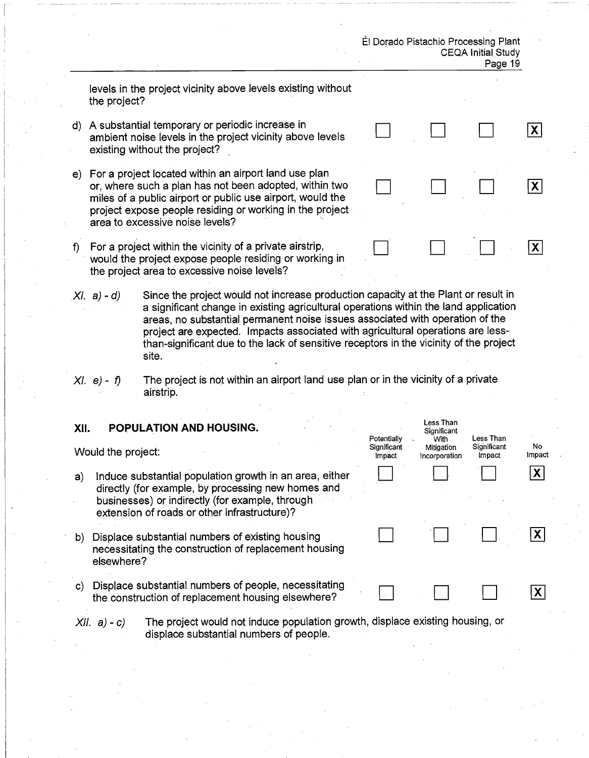|              |                    |                                                                                                                                                                                                                                                                                                                                                                                                                                                   |                            | El Dorado Pistachio Processing Plant           | <b>CEQA Initial Study</b><br>Page 19 |                             |
|--------------|--------------------|---------------------------------------------------------------------------------------------------------------------------------------------------------------------------------------------------------------------------------------------------------------------------------------------------------------------------------------------------------------------------------------------------------------------------------------------------|----------------------------|------------------------------------------------|--------------------------------------|-----------------------------|
|              | the project?       | levels in the project vicinity above levels existing without                                                                                                                                                                                                                                                                                                                                                                                      |                            |                                                |                                      |                             |
|              |                    | d) A substantial temporary or periodic increase in<br>ambient noise levels in the project vicinity above levels<br>existing without the project?                                                                                                                                                                                                                                                                                                  |                            |                                                |                                      | $ \boldsymbol{\mathsf{X}} $ |
|              |                    | e) For a project located within an airport land use plan<br>or, where such a plan has not been adopted, within two<br>miles of a public airport or public use airport, would the<br>project expose people residing or working in the project<br>area to excessive noise levels?                                                                                                                                                                   |                            |                                                |                                      | X                           |
| f)           |                    | For a project within the vicinity of a private airstrip,<br>would the project expose people residing or working in<br>the project area to excessive noise levels?                                                                                                                                                                                                                                                                                 |                            |                                                |                                      | $\mathsf{X}$                |
|              | $(XI. a) - d)$     | Since the project would not increase production capacity at the Plant or result in<br>a significant change in existing agricultural operations within the land application<br>areas, no substantial permanent noise issues associated with operation of the<br>project are expected. Impacts associated with agricultural operations are less-<br>than-significant due to the lack of sensitive receptors in the vicinity of the project<br>site. |                            |                                                |                                      |                             |
|              | $XI. e) - f$       | The project is not within an airport land use plan or in the vicinity of a private<br>airstrip.                                                                                                                                                                                                                                                                                                                                                   |                            |                                                |                                      |                             |
| XII.         | Would the project: | POPULATION AND HOUSING.                                                                                                                                                                                                                                                                                                                                                                                                                           | Potentially<br>Significant | Less Than<br>Significant<br>With<br>Mitigation | Less Than<br>Significant<br>Impact   | No<br>Impact                |
| a)           |                    | Induce substantial population growth in an area, either<br>directly (for example, by processing new homes and<br>businesses) or indirectly (for example, through<br>extension of roads or other infrastructure)?                                                                                                                                                                                                                                  | Impact                     | Incorporation                                  |                                      | X                           |
| b)           | elsewhere?         | Displace substantial numbers of existing housing<br>necessitating the construction of replacement housing                                                                                                                                                                                                                                                                                                                                         |                            |                                                |                                      | $\mathsf{X}$                |
| $\mathbf{C}$ |                    | Displace substantial numbers of people, necessitating<br>the construction of replacement housing elsewhere?                                                                                                                                                                                                                                                                                                                                       |                            |                                                |                                      | $\mathsf{X}$                |
|              | $XII. a) - c$      | The project would not induce population growth, displace existing housing, or<br>displace substantial numbers of people.                                                                                                                                                                                                                                                                                                                          |                            |                                                |                                      |                             |

 $\hat{\mathcal{A}}$ 

 $\mathcal{L}_{\mathcal{A}}$ 

 $\hat{u}$  ,  $\hat{u}$ 

 $\sim$   $\sim$ 

 $\hat{\mathbf{v}}$ 

 $\hat{\boldsymbol{\beta}}$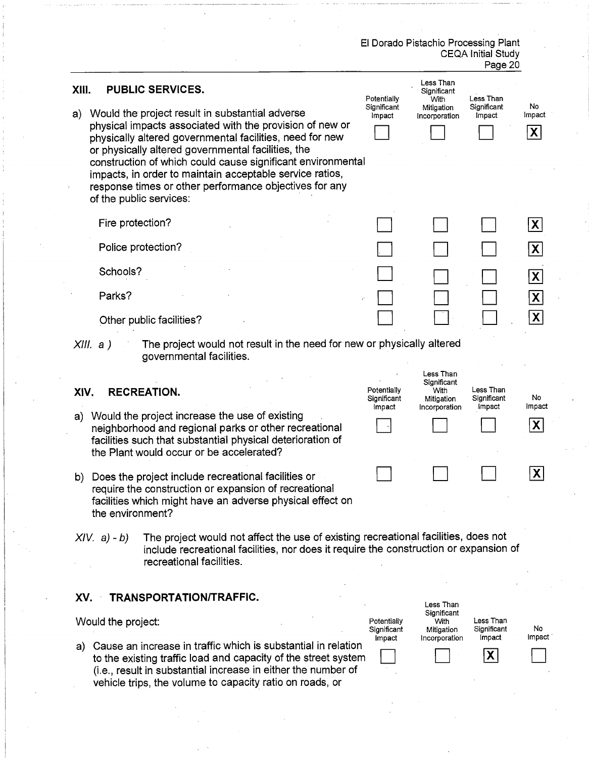|             |                                        |                                                                                                                                                                                                                                                                                                                                                                                                                                                                          |                                      | El Dorado Pistachio Processing Plant                            | <b>CEQA Initial Study</b><br>Page 20     |                                                                                            |
|-------------|----------------------------------------|--------------------------------------------------------------------------------------------------------------------------------------------------------------------------------------------------------------------------------------------------------------------------------------------------------------------------------------------------------------------------------------------------------------------------------------------------------------------------|--------------------------------------|-----------------------------------------------------------------|------------------------------------------|--------------------------------------------------------------------------------------------|
| XIII.<br>a) |                                        | <b>PUBLIC SERVICES.</b><br>Would the project result in substantial adverse<br>physical impacts associated with the provision of new or<br>physically altered governmental facilities, need for new<br>or physically altered governmental facilities, the<br>construction of which could cause significant environmental<br>impacts, in order to maintain acceptable service ratios,<br>response times or other performance objectives for any<br>of the public services: | Potentially<br>Significant<br>Impact | Less Than<br>Significant<br>With<br>Mitigation<br>Incorporation | Less Than<br>Significant<br>Impact       | No<br>Impact<br>$\mathsf{X}$                                                               |
|             | Fire protection?<br>Schools?<br>Parks? | Police protection?<br>Other public facilities?                                                                                                                                                                                                                                                                                                                                                                                                                           |                                      |                                                                 |                                          | $\mathsf{X}$<br>$\mathsf{x}$<br>$\mathsf{x}$<br>$\vert X \vert$<br>$\overline{\mathbf{X}}$ |
| XIV.<br>a)  | XIII. a)                               | The project would not result in the need for new or physically altered<br>governmental facilities.<br><b>RECREATION.</b><br>Would the project increase the use of existing<br>neighborhood and regional parks or other recreational<br>facilities such that substantial physical deterioration of<br>the Plant would occur or be accelerated?                                                                                                                            | Potentially<br>Significant<br>Impact | Less Than<br>Significant<br>With<br>Mitigation<br>Incorporation | Less Than<br>Significant<br>Impact       | No.<br>Impact<br>$\mathsf{X}$                                                              |
| b)          | the environment?                       | Does the project include recreational facilities or<br>require the construction or expansion of recreational<br>facilities which might have an adverse physical effect on                                                                                                                                                                                                                                                                                                |                                      |                                                                 |                                          | $ {\bf X} $                                                                                |
|             | $XIV. a) - b$                          | The project would not affect the use of existing recreational facilities, does not<br>include recreational facilities, nor does it require the construction or expansion of<br>recreational facilities.                                                                                                                                                                                                                                                                  |                                      |                                                                 |                                          |                                                                                            |
| XV.         | Would the project:                     | TRANSPORTATION/TRAFFIC.<br>a) Cause an increase in traffic which is substantial in relation<br>to the existing traffic load and capacity of the street system<br>(i.e., result in substantial increase in either the number of<br>vehicle trips, the volume to capacity ratio on roads, or                                                                                                                                                                               | Potentially<br>Significant<br>impact | Less Than<br>Significant<br>With<br>Mitigation<br>Incorporation | Less Than<br>Significant<br>Impact<br>X. | No<br>Impact                                                                               |

 $\frac{1}{2}$ 

 $\mathcal{V}_{\mathcal{A}}$ 

 $\frac{1}{2} \frac{1}{2} \frac{1}{2}$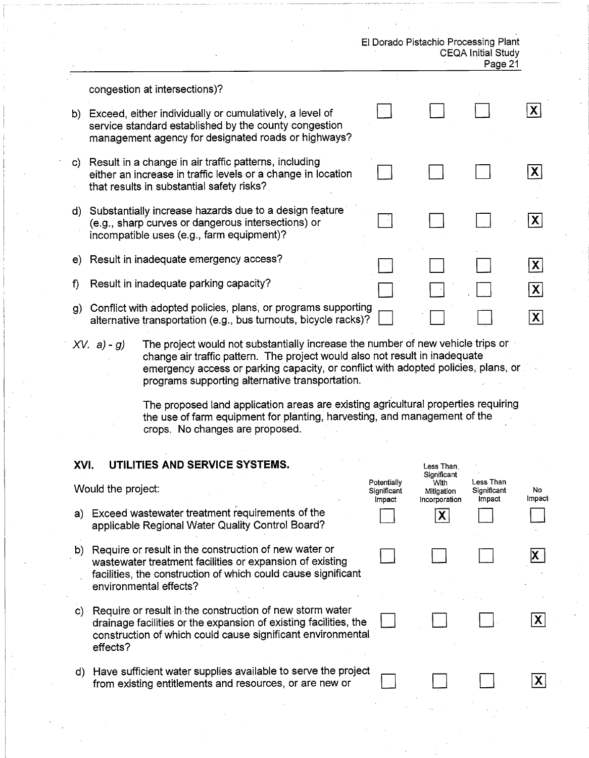| El Dorado Pistachio Processing Plant |         |
|--------------------------------------|---------|
| <b>CEQA Initial Study</b>            |         |
|                                      | Page 21 |

Less Than

|    | congestion at intersections)?                                                                                                                                           |  |  |
|----|-------------------------------------------------------------------------------------------------------------------------------------------------------------------------|--|--|
| b) | Exceed, either individually or cumulatively, a level of<br>service standard established by the county congestion<br>management agency for designated roads or highways? |  |  |
| C) | Result in a change in air traffic patterns, including<br>either an increase in traffic levels or a change in location<br>that results in substantial safety risks?      |  |  |
| d) | Substantially increase hazards due to a design feature<br>(e.g., sharp curves or dangerous intersections) or<br>incompatible uses (e.g., farm equipment)?               |  |  |
|    | e) Result in inadequate emergency access?                                                                                                                               |  |  |
| f) | Result in inadequate parking capacity?                                                                                                                                  |  |  |
| g) | Conflict with adopted policies, plans, or programs supporting<br>alternative transportation (e.g., bus turnouts, bicycle racks)?                                        |  |  |
|    |                                                                                                                                                                         |  |  |

The project would not substantially increase the number of new vehicle trips or  $XV. a) - g$ change air traffic pattern. The project would also not result in inadequate emergency access or parking capacity, or conflict with adopted policies, plans, or programs supporting alternative transportation.

> The proposed land application areas are existing agricultural properties requiring the use of farm equipment for planting, harvesting, and management of the crops. No changes are proposed.

#### XVI. UTILITIES AND SERVICE SYSTEMS.

|    | Would the project:                                                                                                                                                                                           | Potentially<br>Significant<br>Impact | Significant<br>With<br>Mitigation<br>Incorporation | Less Than<br>Significant<br>Impact | No<br>Impact |
|----|--------------------------------------------------------------------------------------------------------------------------------------------------------------------------------------------------------------|--------------------------------------|----------------------------------------------------|------------------------------------|--------------|
| a) | Exceed wastewater treatment requirements of the<br>applicable Regional Water Quality Control Board?                                                                                                          |                                      |                                                    |                                    |              |
| b) | Require or result in the construction of new water or<br>wastewater treatment facilities or expansion of existing<br>facilities, the construction of which could cause significant<br>environmental effects? |                                      |                                                    |                                    |              |
|    | c) Require or result in the construction of new storm water<br>drainage facilities or the expansion of existing facilities, the<br>construction of which could cause significant environmental<br>effects?   |                                      |                                                    |                                    |              |
| d) | Have sufficient water supplies available to serve the project<br>from existing entitlements and resources, or are new or                                                                                     |                                      |                                                    |                                    |              |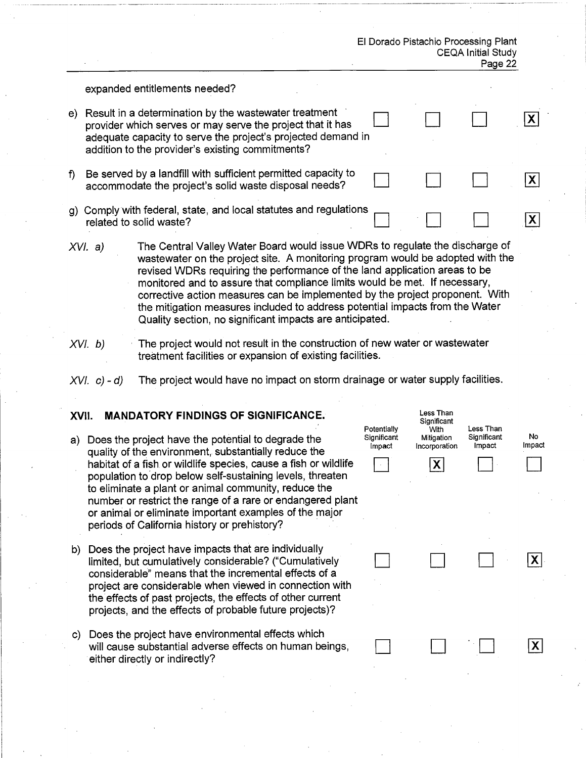| El Dorado Pistachio Processing Plant |
|--------------------------------------|
| <b>CEQA Initial Study</b>            |
| Page 22                              |

#### expanded entitlements needed?

| e) | Result in a determination by the wastewater treatment<br>provider which serves or may serve the project that it has<br>adequate capacity to serve the project's projected demand in<br>addition to the provider's existing commitments? |  |  |
|----|-----------------------------------------------------------------------------------------------------------------------------------------------------------------------------------------------------------------------------------------|--|--|
|    | Be served by a landfill with sufficient permitted capacity to<br>accommodate the project's solid waste disposal needs?                                                                                                                  |  |  |
| g) | Comply with federal, state, and local statutes and regulations<br>related to solid waste?                                                                                                                                               |  |  |

- The Central Valley Water Board would issue WDRs to regulate the discharge of  $XVI. a)$ wastewater on the project site. A monitoring program would be adopted with the revised WDRs requiring the performance of the land application areas to be monitored and to assure that compliance limits would be met. If necessary, corrective action measures can be implemented by the project proponent. With the mitigation measures included to address potential impacts from the Water Quality section, no significant impacts are anticipated.
- The project would not result in the construction of new water or wastewater  $XVI. b)$ treatment facilities or expansion of existing facilities.
- The project would have no impact on storm drainage or water supply facilities.  $XVI. c) - d$

#### **MANDATORY FINDINGS OF SIGNIFICANCE.** XVII.

- a) Does the project have the potential to degrade the quality of the environment, substantially reduce the habitat of a fish or wildlife species, cause a fish or wildlife population to drop below self-sustaining levels, threaten to eliminate a plant or animal community, reduce the number or restrict the range of a rare or endangered plant or animal or eliminate important examples of the major periods of California history or prehistory?
- b) Does the project have impacts that are individually limited, but cumulatively considerable? ("Cumulatively considerable" means that the incremental effects of a project are considerable when viewed in connection with the effects of past projects, the effects of other current projects, and the effects of probable future projects)?
- c) Does the project have environmental effects which will cause substantial adverse effects on human beings, either directly or indirectly?

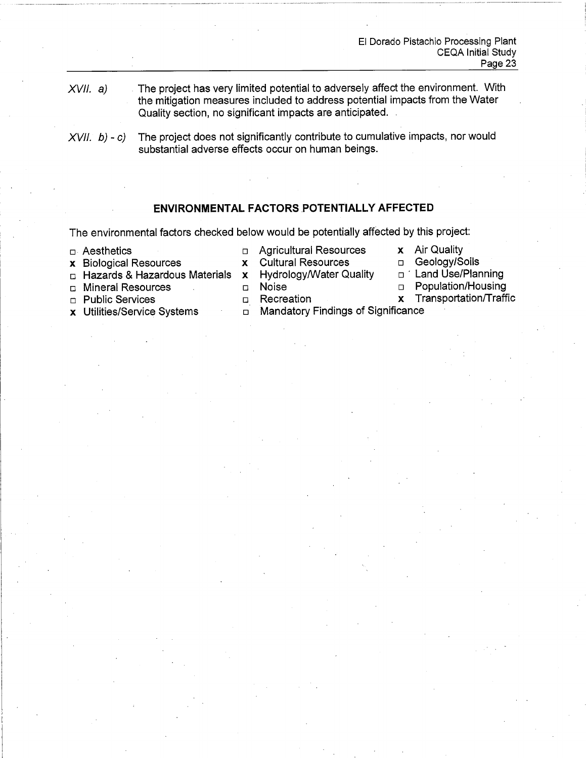- $XVII. a)$ The project has very limited potential to adversely affect the environment. With the mitigation measures included to address potential impacts from the Water Quality section, no significant impacts are anticipated.
- The project does not significantly contribute to cumulative impacts, nor would  $XVII. b) - c$ substantial adverse effects occur on human beings.

# **ENVIRONMENTAL FACTORS POTENTIALLY AFFECTED**

The environmental factors checked below would be potentially affected by this project:

 $\mathbf{x}$ 

 $n$  Aesthetics

**D** Agricultural Resources **Cultural Resources** 

**Hydrology/Water Quality** 

- x Air Quality
- Geology/Soils  $\Box$ □ Land Use/Planning
- $\Box$  Hazards & Hazardous Materials  $\bm{x}$
- □ Mineral Resources

x Biological Resources

- n Public Services
- x Utilities/Service Systems
- **Noise**  $\Box$ n Recreation
- Population/Housing  $\Box$
- Transportation/Traffic  $\mathbf{x}$
- D Mandatory Findings of Significance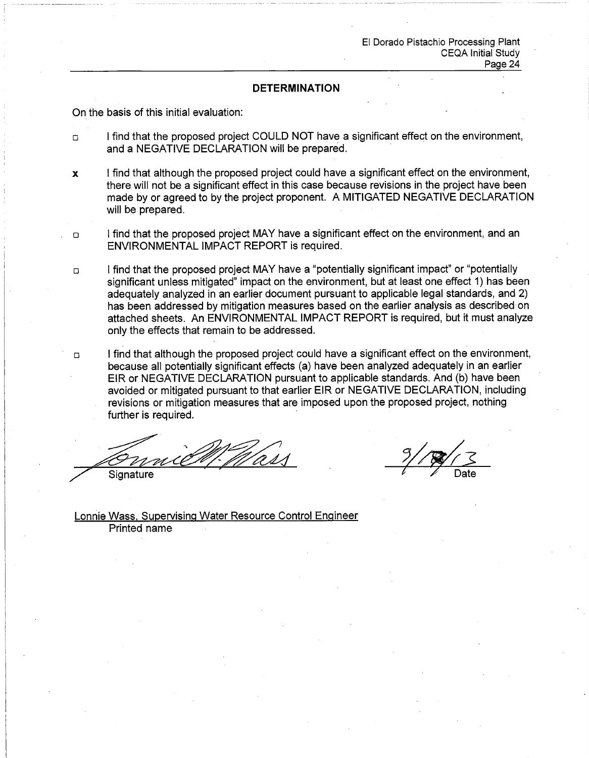### **DETERMINATION**

On the basis of this initial evaluation:

- I find that the proposed project COULD NOT have a significant effect on the environment,  $\Box$ and a NEGATIVE DECLARATION will be prepared.
- I find that although the proposed project could have a significant effect on the environment,  $\mathbf{x}$ there will not be a significant effect in this case because revisions in the project have been made by or agreed to by the project proponent. A MITIGATED NEGATIVE DECLARATION will be prepared.
- I find that the proposed project MAY have a significant effect on the environment, and an  $\Box$ ENVIRONMENTAL IMPACT REPORT is required.
- I find that the proposed project MAY have a "potentially significant impact" or "potentially  $\Box$ significant unless mitigated" impact on the environment, but at least one effect 1) has been adequately analyzed in an earlier document pursuant to applicable legal standards, and 2) has been addressed by mitigation measures based on the earlier analysis as described on attached sheets. An ENVIRONMENTAL IMPACT REPORT is required, but it must analyze only the effects that remain to be addressed.
- I find that although the proposed project could have a significant effect on the environment.  $\Box$ because all potentially significant effects (a) have been analyzed adequately in an earlier EIR or NEGATIVE DECLARATION pursuant to applicable standards. And (b) have been avoided or mitigated pursuant to that earlier EIR or NEGATIVE DECLARATION, including revisions or mitigation measures that are imposed upon the proposed project, nothing further is required.

Signature

Lonnie Wass, Supervising Water Resource Control Engineer Printed name